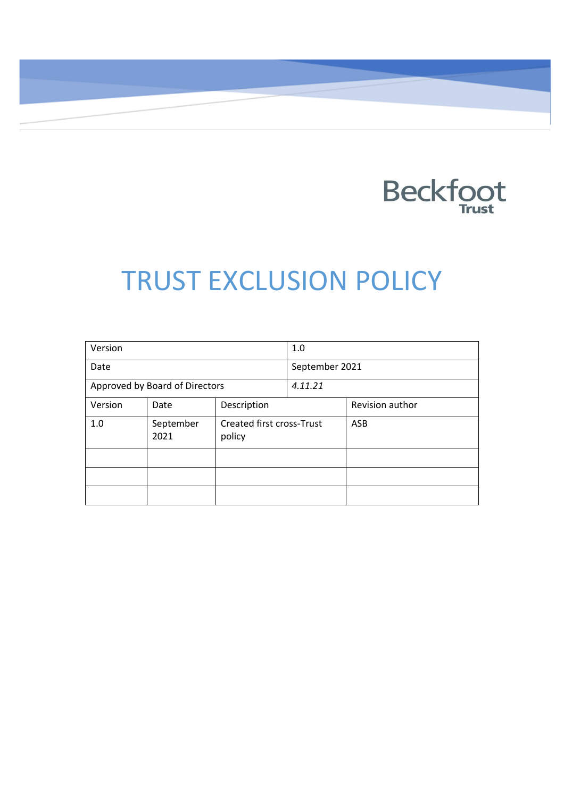

# TRUST EXCLUSION POLICY

| Version                        |                   | 1.0                                        |  |                 |
|--------------------------------|-------------------|--------------------------------------------|--|-----------------|
| Date                           |                   | September 2021                             |  |                 |
| Approved by Board of Directors |                   | 4.11.21                                    |  |                 |
| Version                        | Date              | Description                                |  | Revision author |
| 1.0                            | September<br>2021 | <b>Created first cross-Trust</b><br>policy |  | <b>ASB</b>      |
|                                |                   |                                            |  |                 |
|                                |                   |                                            |  |                 |
|                                |                   |                                            |  |                 |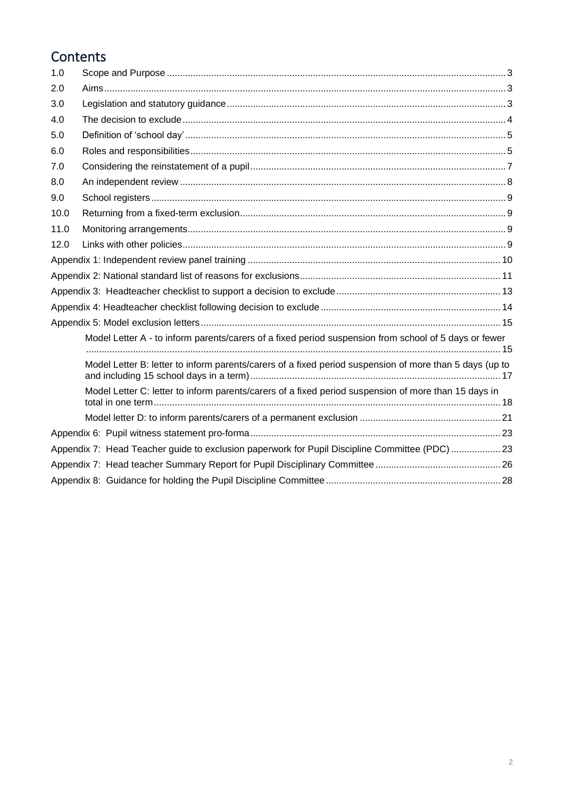### **Contents**

| 1.0  |                                                                                                         |  |
|------|---------------------------------------------------------------------------------------------------------|--|
| 2.0  |                                                                                                         |  |
| 3.0  |                                                                                                         |  |
| 4.0  |                                                                                                         |  |
| 5.0  |                                                                                                         |  |
| 6.0  |                                                                                                         |  |
| 7.0  |                                                                                                         |  |
| 8.0  |                                                                                                         |  |
| 9.0  |                                                                                                         |  |
| 10.0 |                                                                                                         |  |
| 11.0 |                                                                                                         |  |
| 12.0 |                                                                                                         |  |
|      |                                                                                                         |  |
|      |                                                                                                         |  |
|      |                                                                                                         |  |
|      |                                                                                                         |  |
|      |                                                                                                         |  |
|      | Model Letter A - to inform parents/carers of a fixed period suspension from school of 5 days or fewer   |  |
|      |                                                                                                         |  |
|      | Model Letter B: letter to inform parents/carers of a fixed period suspension of more than 5 days (up to |  |
|      | Model Letter C: letter to inform parents/carers of a fixed period suspension of more than 15 days in    |  |
|      |                                                                                                         |  |
|      |                                                                                                         |  |
|      | Appendix 7: Head Teacher guide to exclusion paperwork for Pupil Discipline Committee (PDC) 23           |  |
|      |                                                                                                         |  |
|      |                                                                                                         |  |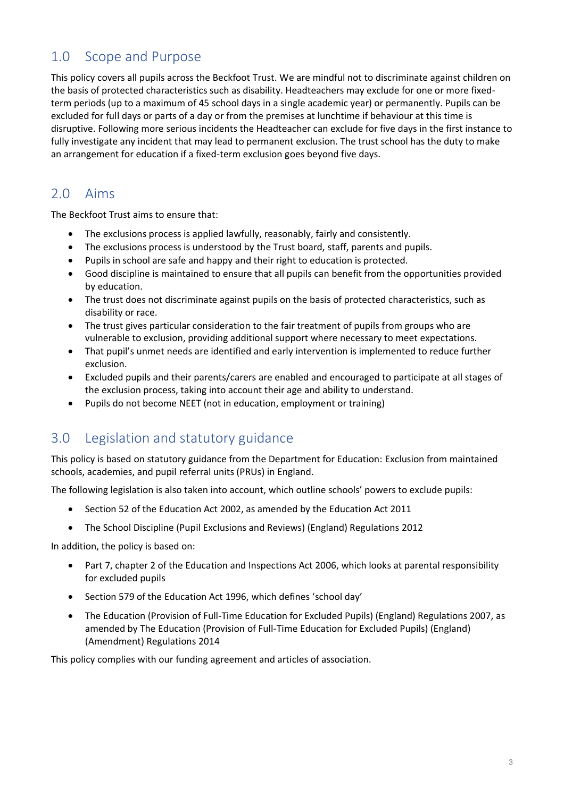### 1.0 Scope and Purpose

This policy covers all pupils across the Beckfoot Trust. We are mindful not to discriminate against children on the basis of protected characteristics such as disability. Headteachers may exclude for one or more fixedterm periods (up to a maximum of 45 school days in a single academic year) or permanently. Pupils can be excluded for full days or parts of a day or from the premises at lunchtime if behaviour at this time is disruptive. Following more serious incidents the Headteacher can exclude for five days in the first instance to fully investigate any incident that may lead to permanent exclusion. The trust school has the duty to make an arrangement for education if a fixed-term exclusion goes beyond five days.

### 2.0 Aims

The Beckfoot Trust aims to ensure that:

- The exclusions process is applied lawfully, reasonably, fairly and consistently.
- The exclusions process is understood by the Trust board, staff, parents and pupils.
- Pupils in school are safe and happy and their right to education is protected.
- Good discipline is maintained to ensure that all pupils can benefit from the opportunities provided by education.
- The trust does not discriminate against pupils on the basis of protected characteristics, such as disability or race.
- The trust gives particular consideration to the fair treatment of pupils from groups who are vulnerable to exclusion, providing additional support where necessary to meet expectations.
- That pupil's unmet needs are identified and early intervention is implemented to reduce further exclusion.
- Excluded pupils and their parents/carers are enabled and encouraged to participate at all stages of the exclusion process, taking into account their age and ability to understand.
- Pupils do not become NEET (not in education, employment or training)

### 3.0 Legislation and statutory guidance

This policy is based on statutory guidance from the Department for Education: [Exclusion from maintained](https://www.gov.uk/government/publications/school-exclusion)  schools, academies, [and pupil referral units \(PRUs\) in England.](https://www.gov.uk/government/publications/school-exclusion)

The following legislation is also taken into account, which outline schools' powers to exclude pupils:

- Section 52 of the [Education Act 2002,](http://www.legislation.gov.uk/ukpga/2002/32/section/52) as amended by the [Education Act 2011](http://www.legislation.gov.uk/ukpga/2011/21/contents/enacted)
- [The School Discipline \(Pupil Exclusions and Reviews\) \(England\) Regulations](http://www.legislation.gov.uk/uksi/2012/1033/made) 2012

In addition, the policy is based on:

- Part 7, chapter 2 of the [Education and Inspections Act 2006,](http://www.legislation.gov.uk/ukpga/2006/40/part/7/chapter/2) which looks at parental responsibility for excluded pupils
- Section 579 of the [Education Act 1996](http://www.legislation.gov.uk/ukpga/1996/56/section/579), which defines 'school day'
- The [Education \(Provision of Full-Time Education for Excluded Pupils\) \(England\) Regulations 2007,](http://www.legislation.gov.uk/uksi/2007/1870/contents/made) as amended by [The Education \(Provision of Full-Time Education for Excluded Pupils\) \(England\)](http://www.legislation.gov.uk/uksi/2014/3216/contents/made)  [\(Amendment\) Regulations 2014](http://www.legislation.gov.uk/uksi/2014/3216/contents/made)

This policy complies with our funding agreement and articles of association.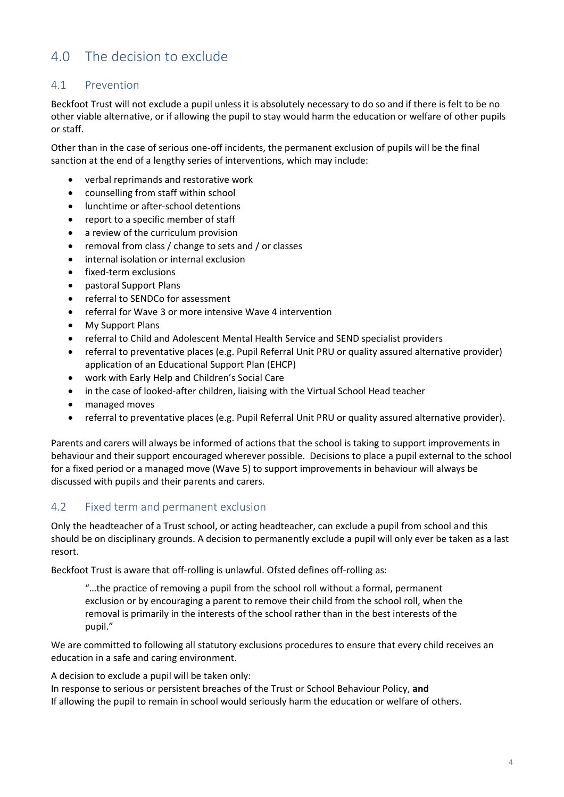### 4.0 The decision to exclude

### 4.1 Prevention

Beckfoot Trust will not exclude a pupil unless it is absolutely necessary to do so and if there is felt to be no other viable alternative, or if allowing the pupil to stay would harm the education or welfare of other pupils or staff.

Other than in the case of serious one-off incidents, the permanent exclusion of pupils will be the final sanction at the end of a lengthy series of interventions, which may include:

- verbal reprimands and restorative work
- counselling from staff within school
- lunchtime or after-school detentions
- report to a specific member of staff
- a review of the curriculum provision
- removal from class / change to sets and / or classes
- internal isolation or internal exclusion
- fixed-term exclusions
- pastoral Support Plans
- referral to SENDCo for assessment
- referral for Wave 3 or more intensive Wave 4 intervention
- My Support Plans
- referral to Child and Adolescent Mental Health Service and SEND specialist providers
- referral to preventative places (e.g. Pupil Referral Unit PRU or quality assured alternative provider) application of an Educational Support Plan (EHCP)
- work with Early Help and Children's Social Care
- in the case of looked-after children, liaising with the Virtual School Head teacher
- managed moves
- referral to preventative places (e.g. Pupil Referral Unit PRU or quality assured alternative provider).

Parents and carers will always be informed of actions that the school is taking to support improvements in behaviour and their support encouraged wherever possible. Decisions to place a pupil external to the school for a fixed period or a managed move (Wave 5) to support improvements in behaviour will always be discussed with pupils and their parents and carers.

### 4.2 Fixed term and permanent exclusion

Only the headteacher of a Trust school, or acting headteacher, can exclude a pupil from school and this should be on disciplinary grounds. A decision to permanently exclude a pupil will only ever be taken as a last resort.

Beckfoot Trust is aware that off-rolling is unlawful. Ofsted defines off-rolling as:

"…the practice of removing a pupil from the school roll without a formal, permanent exclusion or by encouraging a parent to remove their child from the school roll, when the removal is primarily in the interests of the school rather than in the best interests of the pupil."

We are committed to following all statutory exclusions procedures to ensure that every child receives an education in a safe and caring environment.

A decision to exclude a pupil will be taken only:

In response to serious or persistent breaches of the Trust or School Behaviour Policy, **and** If allowing the pupil to remain in school would seriously harm the education or welfare of others.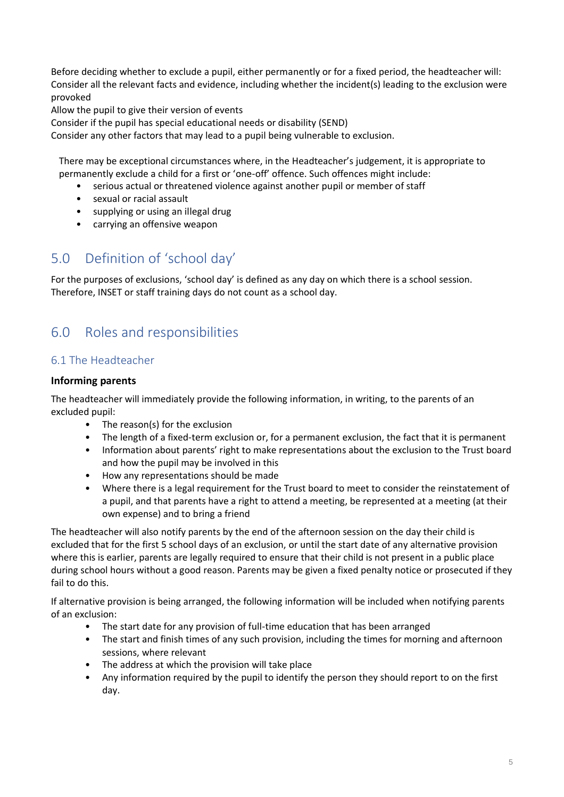Before deciding whether to exclude a pupil, either permanently or for a fixed period, the headteacher will: Consider all the relevant facts and evidence, including whether the incident(s) leading to the exclusion were provoked

Allow the pupil to give their version of events

Consider if the pupil has special educational needs or disability (SEND)

Consider any other factors that may lead to a pupil being vulnerable to exclusion.

There may be exceptional circumstances where, in the Headteacher's judgement, it is appropriate to permanently exclude a child for a first or 'one-off' offence. Such offences might include:

- serious actual or threatened violence against another pupil or member of staff
- sexual or racial assault
- supplying or using an illegal drug
- carrying an offensive weapon

### 5.0 Definition of 'school day'

For the purposes of exclusions, 'school day' is defined as any day on which there is a school session. Therefore, INSET or staff training days do not count as a school day.

### 6.0 Roles and responsibilities

### 6.1 The Headteacher

#### **Informing parents**

The headteacher will immediately provide the following information, in writing, to the parents of an excluded pupil:

- The reason(s) for the exclusion
- The length of a fixed-term exclusion or, for a permanent exclusion, the fact that it is permanent
- Information about parents' right to make representations about the exclusion to the Trust board and how the pupil may be involved in this
- How any representations should be made
- Where there is a legal requirement for the Trust board to meet to consider the reinstatement of a pupil, and that parents have a right to attend a meeting, be represented at a meeting (at their own expense) and to bring a friend

The headteacher will also notify parents by the end of the afternoon session on the day their child is excluded that for the first 5 school days of an exclusion, or until the start date of any alternative provision where this is earlier, parents are legally required to ensure that their child is not present in a public place during school hours without a good reason. Parents may be given a fixed penalty notice or prosecuted if they fail to do this.

If alternative provision is being arranged, the following information will be included when notifying parents of an exclusion:

- The start date for any provision of full-time education that has been arranged
- The start and finish times of any such provision, including the times for morning and afternoon sessions, where relevant
- The address at which the provision will take place
- Any information required by the pupil to identify the person they should report to on the first day.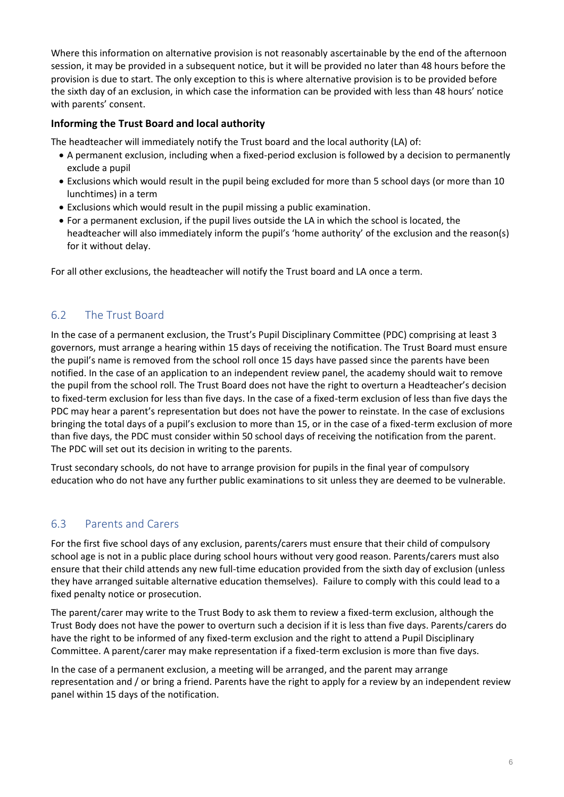Where this information on alternative provision is not reasonably ascertainable by the end of the afternoon session, it may be provided in a subsequent notice, but it will be provided no later than 48 hours before the provision is due to start. The only exception to this is where alternative provision is to be provided before the sixth day of an exclusion, in which case the information can be provided with less than 48 hours' notice with parents' consent.

### **Informing the Trust Board and local authority**

The headteacher will immediately notify the Trust board and the local authority (LA) of:

- A permanent exclusion, including when a fixed-period exclusion is followed by a decision to permanently exclude a pupil
- Exclusions which would result in the pupil being excluded for more than 5 school days (or more than 10 lunchtimes) in a term
- Exclusions which would result in the pupil missing a public examination.
- For a permanent exclusion, if the pupil lives outside the LA in which the school is located, the headteacher will also immediately inform the pupil's 'home authority' of the exclusion and the reason(s) for it without delay.

For all other exclusions, the headteacher will notify the Trust board and LA once a term.

### 6.2 The Trust Board

In the case of a permanent exclusion, the Trust's Pupil Disciplinary Committee (PDC) comprising at least 3 governors, must arrange a hearing within 15 days of receiving the notification. The Trust Board must ensure the pupil's name is removed from the school roll once 15 days have passed since the parents have been notified. In the case of an application to an independent review panel, the academy should wait to remove the pupil from the school roll. The Trust Board does not have the right to overturn a Headteacher's decision to fixed-term exclusion for less than five days. In the case of a fixed-term exclusion of less than five days the PDC may hear a parent's representation but does not have the power to reinstate. In the case of exclusions bringing the total days of a pupil's exclusion to more than 15, or in the case of a fixed-term exclusion of more than five days, the PDC must consider within 50 school days of receiving the notification from the parent. The PDC will set out its decision in writing to the parents.

Trust secondary schools, do not have to arrange provision for pupils in the final year of compulsory education who do not have any further public examinations to sit unless they are deemed to be vulnerable.

### 6.3 Parents and Carers

For the first five school days of any exclusion, parents/carers must ensure that their child of compulsory school age is not in a public place during school hours without very good reason. Parents/carers must also ensure that their child attends any new full-time education provided from the sixth day of exclusion (unless they have arranged suitable alternative education themselves). Failure to comply with this could lead to a fixed penalty notice or prosecution.

The parent/carer may write to the Trust Body to ask them to review a fixed-term exclusion, although the Trust Body does not have the power to overturn such a decision if it is less than five days. Parents/carers do have the right to be informed of any fixed-term exclusion and the right to attend a Pupil Disciplinary Committee. A parent/carer may make representation if a fixed-term exclusion is more than five days.

In the case of a permanent exclusion, a meeting will be arranged, and the parent may arrange representation and / or bring a friend. Parents have the right to apply for a review by an independent review panel within 15 days of the notification.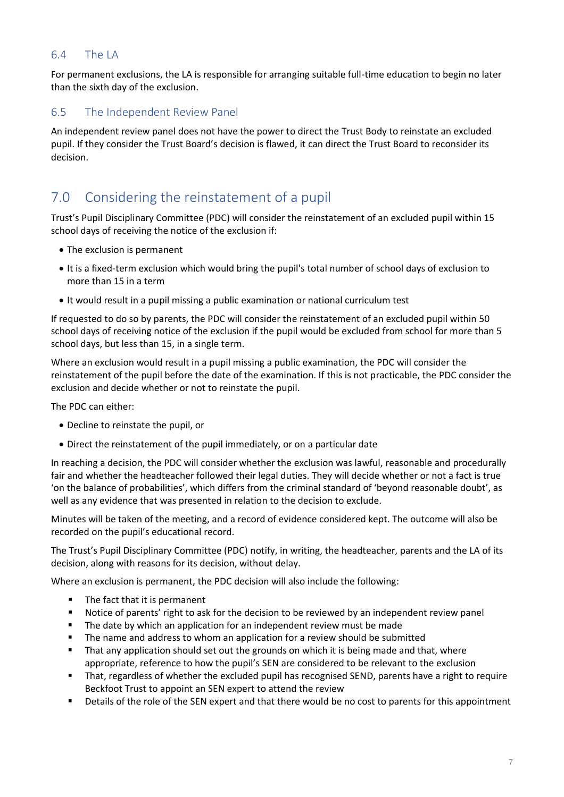### 6.4 The LA

For permanent exclusions, the LA is responsible for arranging suitable full-time education to begin no later than the sixth day of the exclusion.

### 6.5 The Independent Review Panel

An independent review panel does not have the power to direct the Trust Body to reinstate an excluded pupil. If they consider the Trust Board's decision is flawed, it can direct the Trust Board to reconsider its decision.

### 7.0 Considering the reinstatement of a pupil

Trust's Pupil Disciplinary Committee (PDC) will consider the reinstatement of an excluded pupil within 15 school days of receiving the notice of the exclusion if:

- The exclusion is permanent
- It is a fixed-term exclusion which would bring the pupil's total number of school days of exclusion to more than 15 in a term
- It would result in a pupil missing a public examination or national curriculum test

If requested to do so by parents, the PDC will consider the reinstatement of an excluded pupil within 50 school days of receiving notice of the exclusion if the pupil would be excluded from school for more than 5 school days, but less than 15, in a single term.

Where an exclusion would result in a pupil missing a public examination, the PDC will consider the reinstatement of the pupil before the date of the examination. If this is not practicable, the PDC consider the exclusion and decide whether or not to reinstate the pupil.

The PDC can either:

- Decline to reinstate the pupil, or
- Direct the reinstatement of the pupil immediately, or on a particular date

In reaching a decision, the PDC will consider whether the exclusion was lawful, reasonable and procedurally fair and whether the headteacher followed their legal duties. They will decide whether or not a fact is true 'on the balance of probabilities', which differs from the criminal standard of 'beyond reasonable doubt', as well as any evidence that was presented in relation to the decision to exclude.

Minutes will be taken of the meeting, and a record of evidence considered kept. The outcome will also be recorded on the pupil's educational record.

The Trust's Pupil Disciplinary Committee (PDC) notify, in writing, the headteacher, parents and the LA of its decision, along with reasons for its decision, without delay.

Where an exclusion is permanent, the PDC decision will also include the following:

- The fact that it is permanent
- Notice of parents' right to ask for the decision to be reviewed by an independent review panel
- The date by which an application for an independent review must be made
- The name and address to whom an application for a review should be submitted
- That any application should set out the grounds on which it is being made and that, where appropriate, reference to how the pupil's SEN are considered to be relevant to the exclusion
- That, regardless of whether the excluded pupil has recognised SEND, parents have a right to require Beckfoot Trust to appoint an SEN expert to attend the review
- Details of the role of the SEN expert and that there would be no cost to parents for this appointment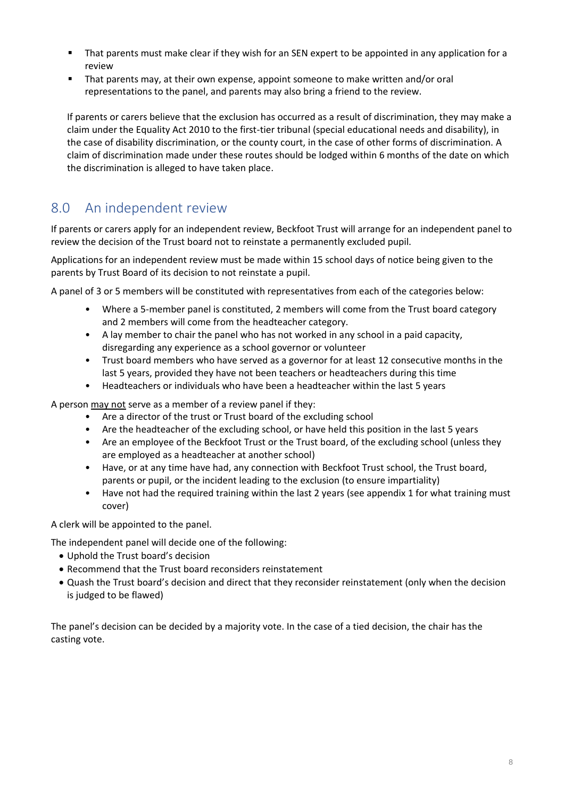- That parents must make clear if they wish for an SEN expert to be appointed in any application for a review
- That parents may, at their own expense, appoint someone to make written and/or oral representations to the panel, and parents may also bring a friend to the review.

If parents or carers believe that the exclusion has occurred as a result of discrimination, they may make a claim under the Equality Act 2010 to the first-tier tribunal (special educational needs and disability), in the case of disability discrimination, or the county court, in the case of other forms of discrimination. A claim of discrimination made under these routes should be lodged within 6 months of the date on which the discrimination is alleged to have taken place.

### 8.0 An independent review

If parents or carers apply for an independent review, Beckfoot Trust will arrange for an independent panel to review the decision of the Trust board not to reinstate a permanently excluded pupil.

Applications for an independent review must be made within 15 school days of notice being given to the parents by Trust Board of its decision to not reinstate a pupil.

A panel of 3 or 5 members will be constituted with representatives from each of the categories below:

- Where a 5-member panel is constituted, 2 members will come from the Trust board category and 2 members will come from the headteacher category.
- A lay member to chair the panel who has not worked in any school in a paid capacity, disregarding any experience as a school governor or volunteer
- Trust board members who have served as a governor for at least 12 consecutive months in the last 5 years, provided they have not been teachers or headteachers during this time
- Headteachers or individuals who have been a headteacher within the last 5 years

A person may not serve as a member of a review panel if they:

- Are a director of the trust or Trust board of the excluding school
- Are the headteacher of the excluding school, or have held this position in the last 5 years
- Are an employee of the Beckfoot Trust or the Trust board, of the excluding school (unless they are employed as a headteacher at another school)
- Have, or at any time have had, any connection with Beckfoot Trust school, the Trust board, parents or pupil, or the incident leading to the exclusion (to ensure impartiality)
- Have not had the required training within the last 2 years (see appendix 1 for what training must cover)

A clerk will be appointed to the panel.

The independent panel will decide one of the following:

- Uphold the Trust board's decision
- Recommend that the Trust board reconsiders reinstatement
- Quash the Trust board's decision and direct that they reconsider reinstatement (only when the decision is judged to be flawed)

The panel's decision can be decided by a majority vote. In the case of a tied decision, the chair has the casting vote.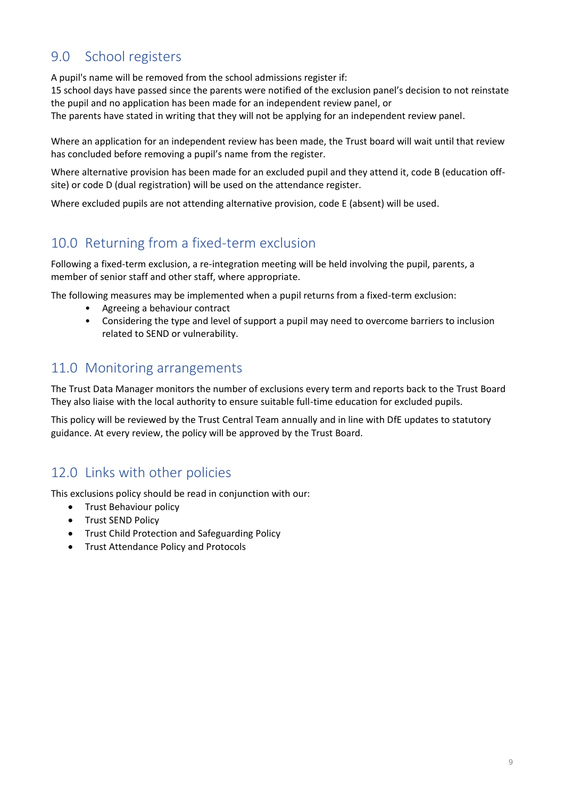### 9.0 School registers

A pupil's name will be removed from the school admissions register if:

15 school days have passed since the parents were notified of the exclusion panel's decision to not reinstate the pupil and no application has been made for an independent review panel, or The parents have stated in writing that they will not be applying for an independent review panel.

Where an application for an independent review has been made, the Trust board will wait until that review has concluded before removing a pupil's name from the register.

Where alternative provision has been made for an excluded pupil and they attend it, code B (education offsite) or code D (dual registration) will be used on the attendance register.

Where excluded pupils are not attending alternative provision, code E (absent) will be used.

### 10.0 Returning from a fixed-term exclusion

Following a fixed-term exclusion, a re-integration meeting will be held involving the pupil, parents, a member of senior staff and other staff, where appropriate.

The following measures may be implemented when a pupil returns from a fixed-term exclusion:

- Agreeing a behaviour contract
- Considering the type and level of support a pupil may need to overcome barriers to inclusion related to SEND or vulnerability.

### 11.0 Monitoring arrangements

The Trust Data Manager monitors the number of exclusions every term and reports back to the Trust Board They also liaise with the local authority to ensure suitable full-time education for excluded pupils.

This policy will be reviewed by the Trust Central Team annually and in line with DfE updates to statutory guidance. At every review, the policy will be approved by the Trust Board.

### 12.0 Links with other policies

This exclusions policy should be read in conjunction with our:

- Trust Behaviour policy
- Trust SEND Policy
- Trust Child Protection and Safeguarding Policy
- Trust Attendance Policy and Protocols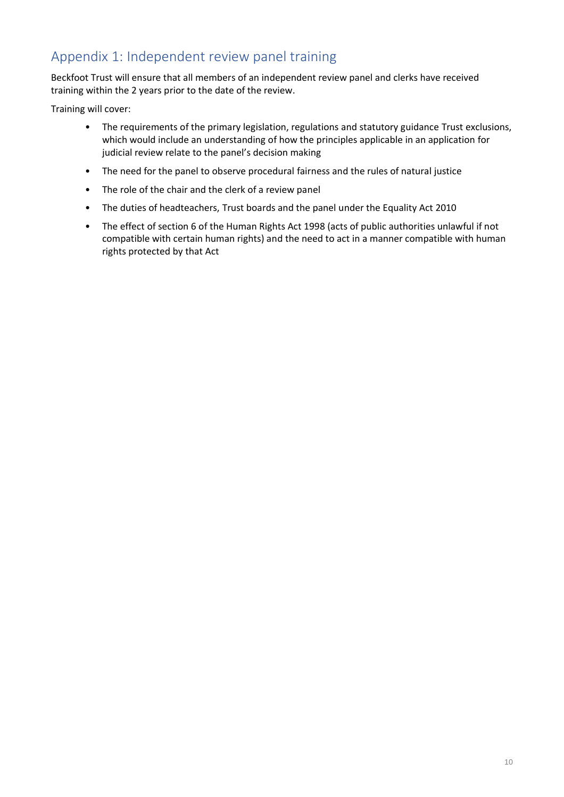### Appendix 1: Independent review panel training

Beckfoot Trust will ensure that all members of an independent review panel and clerks have received training within the 2 years prior to the date of the review.

Training will cover:

- The requirements of the primary legislation, regulations and statutory guidance Trust exclusions, which would include an understanding of how the principles applicable in an application for judicial review relate to the panel's decision making
- The need for the panel to observe procedural fairness and the rules of natural justice
- The role of the chair and the clerk of a review panel
- The duties of headteachers, Trust boards and the panel under the Equality Act 2010
- The effect of section 6 of the Human Rights Act 1998 (acts of public authorities unlawful if not compatible with certain human rights) and the need to act in a manner compatible with human rights protected by that Act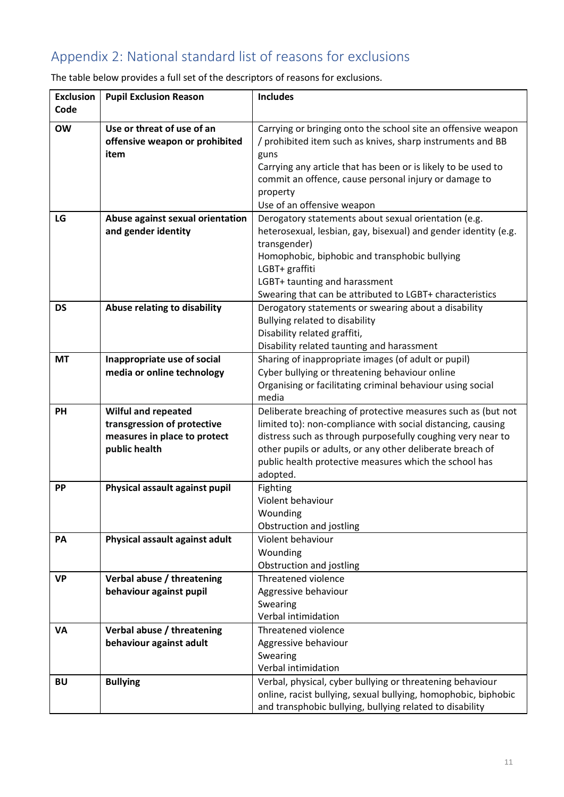## Appendix 2: National standard list of reasons for exclusions

| <b>Exclusion</b> | <b>Pupil Exclusion Reason</b>                 | <b>Includes</b>                                                                                                          |
|------------------|-----------------------------------------------|--------------------------------------------------------------------------------------------------------------------------|
| Code             |                                               |                                                                                                                          |
| <b>OW</b>        | Use or threat of use of an                    | Carrying or bringing onto the school site an offensive weapon                                                            |
|                  | offensive weapon or prohibited                | / prohibited item such as knives, sharp instruments and BB                                                               |
|                  | item                                          | guns                                                                                                                     |
|                  |                                               | Carrying any article that has been or is likely to be used to                                                            |
|                  |                                               | commit an offence, cause personal injury or damage to                                                                    |
|                  |                                               | property                                                                                                                 |
|                  |                                               | Use of an offensive weapon                                                                                               |
| LG               | Abuse against sexual orientation              | Derogatory statements about sexual orientation (e.g.                                                                     |
|                  | and gender identity                           | heterosexual, lesbian, gay, bisexual) and gender identity (e.g.                                                          |
|                  |                                               | transgender)                                                                                                             |
|                  |                                               | Homophobic, biphobic and transphobic bullying                                                                            |
|                  |                                               | LGBT+ graffiti                                                                                                           |
|                  |                                               | LGBT+ taunting and harassment                                                                                            |
|                  |                                               | Swearing that can be attributed to LGBT+ characteristics                                                                 |
| <b>DS</b>        | Abuse relating to disability                  | Derogatory statements or swearing about a disability                                                                     |
|                  |                                               | Bullying related to disability                                                                                           |
|                  |                                               | Disability related graffiti,                                                                                             |
|                  |                                               | Disability related taunting and harassment                                                                               |
| <b>MT</b>        | Inappropriate use of social                   | Sharing of inappropriate images (of adult or pupil)                                                                      |
|                  | media or online technology                    | Cyber bullying or threatening behaviour online                                                                           |
|                  |                                               | Organising or facilitating criminal behaviour using social                                                               |
|                  |                                               | media                                                                                                                    |
| PH               | Wilful and repeated                           | Deliberate breaching of protective measures such as (but not                                                             |
|                  | transgression of protective                   | limited to): non-compliance with social distancing, causing                                                              |
|                  | measures in place to protect<br>public health | distress such as through purposefully coughing very near to<br>other pupils or adults, or any other deliberate breach of |
|                  |                                               | public health protective measures which the school has                                                                   |
|                  |                                               | adopted.                                                                                                                 |
| <b>PP</b>        | Physical assault against pupil                | Fighting                                                                                                                 |
|                  |                                               | Violent behaviour                                                                                                        |
|                  |                                               | Wounding                                                                                                                 |
|                  |                                               | Obstruction and jostling                                                                                                 |
| PA               | Physical assault against adult                | Violent behaviour                                                                                                        |
|                  |                                               | Wounding                                                                                                                 |
|                  |                                               | Obstruction and jostling                                                                                                 |
| <b>VP</b>        | Verbal abuse / threatening                    | Threatened violence                                                                                                      |
|                  | behaviour against pupil                       | Aggressive behaviour                                                                                                     |
|                  |                                               | Swearing                                                                                                                 |
|                  |                                               | Verbal intimidation                                                                                                      |
| VA               | Verbal abuse / threatening                    | Threatened violence                                                                                                      |
|                  | behaviour against adult                       | Aggressive behaviour                                                                                                     |
|                  |                                               | Swearing                                                                                                                 |
|                  |                                               | Verbal intimidation                                                                                                      |
| <b>BU</b>        | <b>Bullying</b>                               | Verbal, physical, cyber bullying or threatening behaviour                                                                |
|                  |                                               | online, racist bullying, sexual bullying, homophobic, biphobic                                                           |
|                  |                                               | and transphobic bullying, bullying related to disability                                                                 |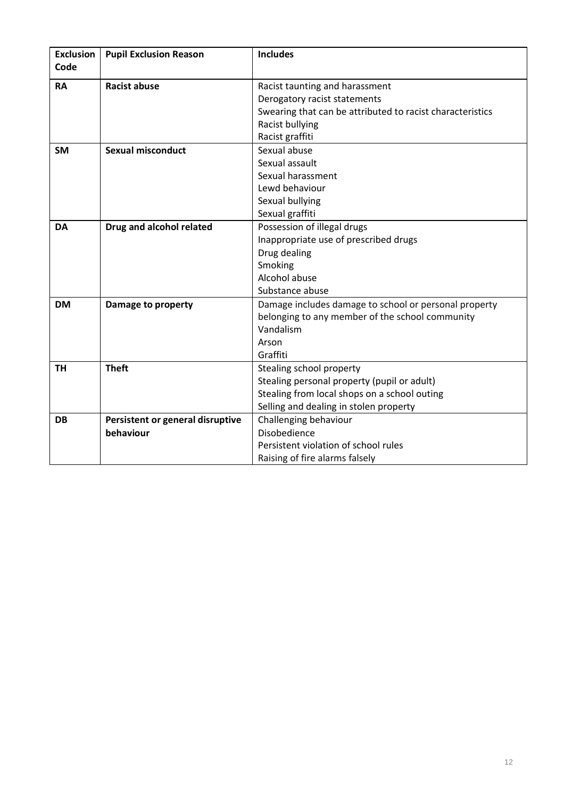| <b>Exclusion</b><br>Code | <b>Pupil Exclusion Reason</b>    | <b>Includes</b>                                           |
|--------------------------|----------------------------------|-----------------------------------------------------------|
|                          |                                  |                                                           |
| <b>RA</b>                | <b>Racist abuse</b>              | Racist taunting and harassment                            |
|                          |                                  | Derogatory racist statements                              |
|                          |                                  | Swearing that can be attributed to racist characteristics |
|                          |                                  | Racist bullying                                           |
|                          |                                  | Racist graffiti                                           |
| <b>SM</b>                | <b>Sexual misconduct</b>         | Sexual abuse                                              |
|                          |                                  | Sexual assault                                            |
|                          |                                  | Sexual harassment                                         |
|                          |                                  | Lewd behaviour                                            |
|                          |                                  | Sexual bullying                                           |
|                          |                                  | Sexual graffiti                                           |
| <b>DA</b>                | Drug and alcohol related         | Possession of illegal drugs                               |
|                          |                                  | Inappropriate use of prescribed drugs                     |
|                          |                                  | Drug dealing                                              |
|                          |                                  | Smoking                                                   |
|                          |                                  | Alcohol abuse                                             |
|                          |                                  | Substance abuse                                           |
| <b>DM</b>                | Damage to property               | Damage includes damage to school or personal property     |
|                          |                                  | belonging to any member of the school community           |
|                          |                                  | Vandalism                                                 |
|                          |                                  | Arson                                                     |
|                          |                                  | Graffiti                                                  |
| <b>TH</b>                | <b>Theft</b>                     | Stealing school property                                  |
|                          |                                  | Stealing personal property (pupil or adult)               |
|                          |                                  | Stealing from local shops on a school outing              |
|                          |                                  | Selling and dealing in stolen property                    |
| <b>DB</b>                | Persistent or general disruptive | Challenging behaviour                                     |
|                          | behaviour                        | Disobedience                                              |
|                          |                                  | Persistent violation of school rules                      |
|                          |                                  | Raising of fire alarms falsely                            |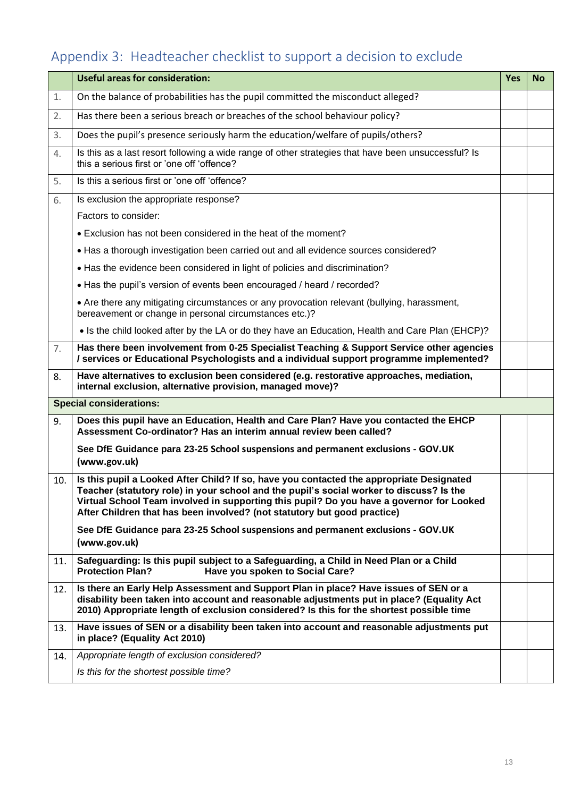# Appendix 3: Headteacher checklist to support a decision to exclude

|     | <b>Useful areas for consideration:</b>                                                                                                                                                                                                                                                                                                                       | <b>Yes</b> | <b>No</b> |
|-----|--------------------------------------------------------------------------------------------------------------------------------------------------------------------------------------------------------------------------------------------------------------------------------------------------------------------------------------------------------------|------------|-----------|
| 1.  | On the balance of probabilities has the pupil committed the misconduct alleged?                                                                                                                                                                                                                                                                              |            |           |
| 2.  | Has there been a serious breach or breaches of the school behaviour policy?                                                                                                                                                                                                                                                                                  |            |           |
| 3.  | Does the pupil's presence seriously harm the education/welfare of pupils/others?                                                                                                                                                                                                                                                                             |            |           |
| 4.  | Is this as a last resort following a wide range of other strategies that have been unsuccessful? Is<br>this a serious first or 'one off 'offence?                                                                                                                                                                                                            |            |           |
| 5.  | Is this a serious first or 'one off 'offence?                                                                                                                                                                                                                                                                                                                |            |           |
| 6.  | Is exclusion the appropriate response?                                                                                                                                                                                                                                                                                                                       |            |           |
|     | Factors to consider:                                                                                                                                                                                                                                                                                                                                         |            |           |
|     | • Exclusion has not been considered in the heat of the moment?                                                                                                                                                                                                                                                                                               |            |           |
|     | • Has a thorough investigation been carried out and all evidence sources considered?                                                                                                                                                                                                                                                                         |            |           |
|     | • Has the evidence been considered in light of policies and discrimination?                                                                                                                                                                                                                                                                                  |            |           |
|     | • Has the pupil's version of events been encouraged / heard / recorded?                                                                                                                                                                                                                                                                                      |            |           |
|     | • Are there any mitigating circumstances or any provocation relevant (bullying, harassment,<br>bereavement or change in personal circumstances etc.)?                                                                                                                                                                                                        |            |           |
|     | • Is the child looked after by the LA or do they have an Education, Health and Care Plan (EHCP)?                                                                                                                                                                                                                                                             |            |           |
| 7.  | Has there been involvement from 0-25 Specialist Teaching & Support Service other agencies<br>/ services or Educational Psychologists and a individual support programme implemented?                                                                                                                                                                         |            |           |
| 8.  | Have alternatives to exclusion been considered (e.g. restorative approaches, mediation,<br>internal exclusion, alternative provision, managed move)?                                                                                                                                                                                                         |            |           |
|     | <b>Special considerations:</b>                                                                                                                                                                                                                                                                                                                               |            |           |
| 9.  | Does this pupil have an Education, Health and Care Plan? Have you contacted the EHCP<br>Assessment Co-ordinator? Has an interim annual review been called?                                                                                                                                                                                                   |            |           |
|     | See DfE Guidance para 23-25 School suspensions and permanent exclusions - GOV.UK<br>(www.gov.uk)                                                                                                                                                                                                                                                             |            |           |
| 10. | Is this pupil a Looked After Child? If so, have you contacted the appropriate Designated<br>Teacher (statutory role) in your school and the pupil's social worker to discuss? Is the<br>Virtual School Team involved in supporting this pupil? Do you have a governor for Looked<br>After Children that has been involved? (not statutory but good practice) |            |           |
|     | See DfE Guidance para 23-25 School suspensions and permanent exclusions - GOV.UK<br>(www.gov.uk)                                                                                                                                                                                                                                                             |            |           |
| 11. | Safeguarding: Is this pupil subject to a Safeguarding, a Child in Need Plan or a Child<br><b>Protection Plan?</b><br>Have you spoken to Social Care?                                                                                                                                                                                                         |            |           |
| 12. | Is there an Early Help Assessment and Support Plan in place? Have issues of SEN or a<br>disability been taken into account and reasonable adjustments put in place? (Equality Act<br>2010) Appropriate length of exclusion considered? Is this for the shortest possible time                                                                                |            |           |
| 13. | Have issues of SEN or a disability been taken into account and reasonable adjustments put<br>in place? (Equality Act 2010)                                                                                                                                                                                                                                   |            |           |
| 14. | Appropriate length of exclusion considered?                                                                                                                                                                                                                                                                                                                  |            |           |
|     | Is this for the shortest possible time?                                                                                                                                                                                                                                                                                                                      |            |           |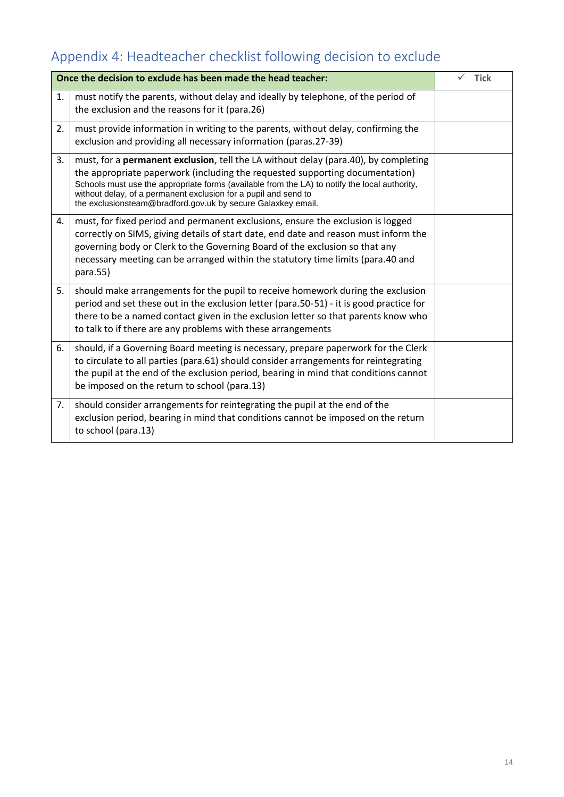# Appendix 4: Headteacher checklist following decision to exclude

| Once the decision to exclude has been made the head teacher: |                                                                                                                                                                                                                                                                                                                                                                                                                 |  | <b>Tick</b> |
|--------------------------------------------------------------|-----------------------------------------------------------------------------------------------------------------------------------------------------------------------------------------------------------------------------------------------------------------------------------------------------------------------------------------------------------------------------------------------------------------|--|-------------|
| 1.                                                           | must notify the parents, without delay and ideally by telephone, of the period of<br>the exclusion and the reasons for it (para.26)                                                                                                                                                                                                                                                                             |  |             |
| 2.                                                           | must provide information in writing to the parents, without delay, confirming the<br>exclusion and providing all necessary information (paras.27-39)                                                                                                                                                                                                                                                            |  |             |
| 3.                                                           | must, for a <b>permanent exclusion</b> , tell the LA without delay (para.40), by completing<br>the appropriate paperwork (including the requested supporting documentation)<br>Schools must use the appropriate forms (available from the LA) to notify the local authority,<br>without delay, of a permanent exclusion for a pupil and send to<br>the exclusionsteam@bradford.gov.uk by secure Galaxkey email. |  |             |
| 4.                                                           | must, for fixed period and permanent exclusions, ensure the exclusion is logged<br>correctly on SIMS, giving details of start date, end date and reason must inform the<br>governing body or Clerk to the Governing Board of the exclusion so that any<br>necessary meeting can be arranged within the statutory time limits (para.40 and<br>para.55)                                                           |  |             |
| 5.                                                           | should make arrangements for the pupil to receive homework during the exclusion<br>period and set these out in the exclusion letter (para.50-51) - it is good practice for<br>there to be a named contact given in the exclusion letter so that parents know who<br>to talk to if there are any problems with these arrangements                                                                                |  |             |
| 6.                                                           | should, if a Governing Board meeting is necessary, prepare paperwork for the Clerk<br>to circulate to all parties (para.61) should consider arrangements for reintegrating<br>the pupil at the end of the exclusion period, bearing in mind that conditions cannot<br>be imposed on the return to school (para.13)                                                                                              |  |             |
| 7.                                                           | should consider arrangements for reintegrating the pupil at the end of the<br>exclusion period, bearing in mind that conditions cannot be imposed on the return<br>to school (para.13)                                                                                                                                                                                                                          |  |             |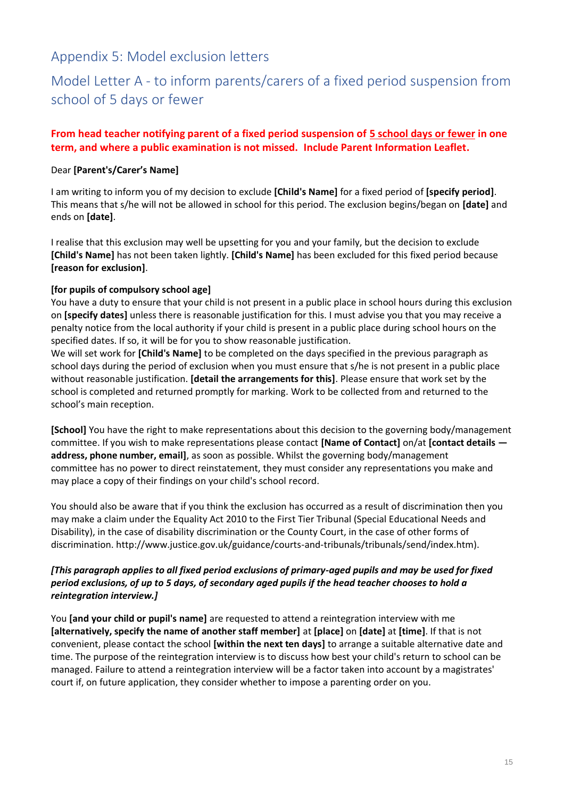### Appendix 5: Model exclusion letters

### Model Letter A - to inform parents/carers of a fixed period suspension from school of 5 days or fewer

### **From head teacher notifying parent of a fixed period suspension of 5 school days or fewer in one term, and where a public examination is not missed. Include [Parent Information Leaflet.](https://bso.bradford.gov.uk/userfiles/file/Behaviour%20Support%20Service/BSS/Parent%20information%20leaflet%20-%20%20Fixed%20term%20suspensions%20and%20the%20school%20governor%20role%20(Aug%202021).docx)**

### Dear **[Parent's/Carer's Name]**

I am writing to inform you of my decision to exclude **[Child's Name]** for a fixed period of **[specify period]**. This means that s/he will not be allowed in school for this period. The exclusion begins/began on **[date]** and ends on **[date]**.

I realise that this exclusion may well be upsetting for you and your family, but the decision to exclude **[Child's Name]** has not been taken lightly. **[Child's Name]** has been excluded for this fixed period because **[reason for exclusion]**.

### **[for pupils of compulsory school age]**

You have a duty to ensure that your child is not present in a public place in school hours during this exclusion on **[specify dates]** unless there is reasonable justification for this. I must advise you that you may receive a penalty notice from the local authority if your child is present in a public place during school hours on the specified dates. If so, it will be for you to show reasonable justification.

We will set work for **[Child's Name]** to be completed on the days specified in the previous paragraph as school days during the period of exclusion when you must ensure that s/he is not present in a public place without reasonable justification. **[detail the arrangements for this]**. Please ensure that work set by the school is completed and returned promptly for marking. Work to be collected from and returned to the school's main reception.

**[School]** You have the right to make representations about this decision to the governing body/management committee. If you wish to make representations please contact **[Name of Contact]** on/at **[contact details address, phone number, email]**, as soon as possible. Whilst the governing body/management committee has no power to direct reinstatement, they must consider any representations you make and may place a copy of their findings on your child's school record.

You should also be aware that if you think the exclusion has occurred as a result of discrimination then you may make a claim under the Equality Act 2010 to the First Tier Tribunal (Special Educational Needs and Disability), in the case of disability discrimination or the County Court, in the case of other forms of discrimination. http://www.justice.gov.uk/guidance/courts-and-tribunals/tribunals/send/index.htm).

### *[This paragraph applies to all fixed period exclusions of primary-aged pupils and may be used for fixed period exclusions, of up to 5 days, of secondary aged pupils if the head teacher chooses to hold a reintegration interview.]*

You **[and your child or pupil's name]** are requested to attend a reintegration interview with me **[alternatively, specify the name of another staff member]** at **[place]** on **[date]** at **[time]**. If that is not convenient, please contact the school **[within the next ten days]** to arrange a suitable alternative date and time. The purpose of the reintegration interview is to discuss how best your child's return to school can be managed. Failure to attend a reintegration interview will be a factor taken into account by a magistrates' court if, on future application, they consider whether to impose a parenting order on you.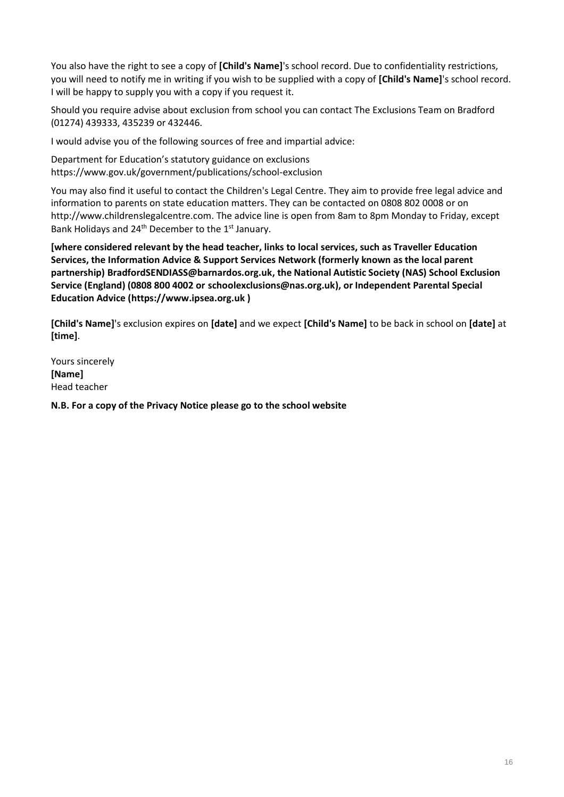You also have the right to see a copy of **[Child's Name]**'s school record. Due to confidentiality restrictions, you will need to notify me in writing if you wish to be supplied with a copy of **[Child's Name]**'s school record. I will be happy to supply you with a copy if you request it.

Should you require advise about exclusion from school you can contact The Exclusions Team on Bradford (01274) 439333, 435239 or 432446.

I would advise you of the following sources of free and impartial advice:

Department for Education's statutory guidance on exclusions <https://www.gov.uk/government/publications/school-exclusion>

You may also find it useful to contact the Children's Legal Centre. They aim to provide free legal advice and information to parents on state education matters. They can be contacted on 0808 802 0008 or on [http://www.childrenslegalcentre.com.](http://www.childrenslegalcentre.com/) The advice line is open from 8am to 8pm Monday to Friday, except Bank Holidays and 24<sup>th</sup> December to the 1<sup>st</sup> January.

**[where considered relevant by the head teacher, links to local services, such as Traveller Education Services, the Information Advice & Support Services Network (formerly known as the local parent partnership) [BradfordSENDIASS@barnardos.org.uk,](mailto:BradfordSENDIASS@barnardos.org.uk) the National Autistic Society (NAS) School Exclusion Service (England) (0808 800 4002 or [schoolexclusions@nas.org.uk\)](mailto:schoolexclusions@nas.org.uk), or Independent Parental Special Education Advice [\(https://www.ipsea.org.uk](https://www.ipsea.org.uk/) )**

**[Child's Name]**'s exclusion expires on **[date]** and we expect **[Child's Name]** to be back in school on **[date]** at **[time]**.

Yours sincerely **[Name]**  Head teacher

**N.B. For a copy of the Privacy Notice please go to the school website**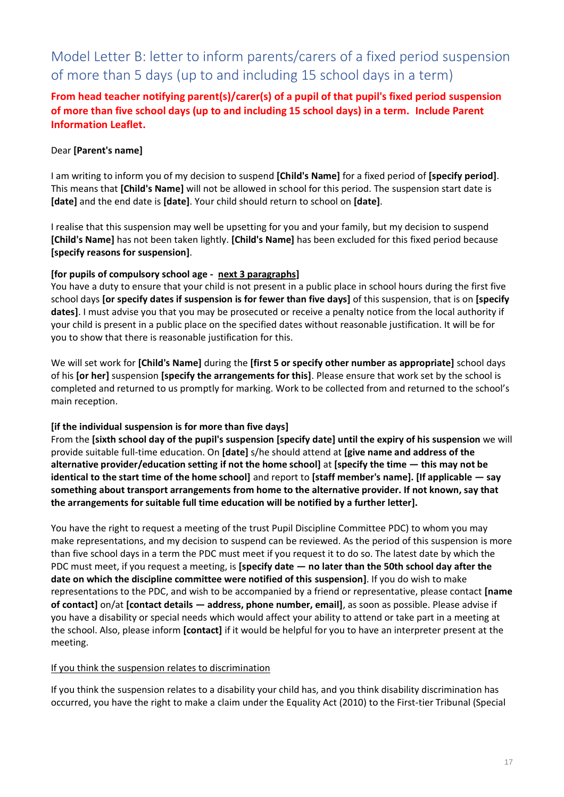### Model Letter B: letter to inform parents/carers of a fixed period suspension of more than 5 days (up to and including 15 school days in a term)

**From head teacher notifying parent(s)/carer(s) of a pupil of that pupil's fixed period suspension of more than five school days (up to and including 15 school days) in a term. Include [Parent](https://bso.bradford.gov.uk/userfiles/file/Behaviour%20Support%20Service/BSS/Parent%20information%20leaflet%20-%20%20Fixed%20term%20suspensions%20and%20the%20school%20governor%20role%20(Aug%202021).docx)  [Information Leaflet.](https://bso.bradford.gov.uk/userfiles/file/Behaviour%20Support%20Service/BSS/Parent%20information%20leaflet%20-%20%20Fixed%20term%20suspensions%20and%20the%20school%20governor%20role%20(Aug%202021).docx)**

### Dear **[Parent's name]**

I am writing to inform you of my decision to suspend **[Child's Name]** for a fixed period of **[specify period]**. This means that **[Child's Name]** will not be allowed in school for this period. The suspension start date is **[date]** and the end date is **[date]**. Your child should return to school on **[date]**.

I realise that this suspension may well be upsetting for you and your family, but my decision to suspend **[Child's Name]** has not been taken lightly. **[Child's Name]** has been excluded for this fixed period because **[specify reasons for suspension]**.

#### **[for pupils of compulsory school age - next 3 paragraphs]**

You have a duty to ensure that your child is not present in a public place in school hours during the first five school days **[or specify dates if suspension is for fewer than five days]** of this suspension, that is on **[specify dates]**. I must advise you that you may be prosecuted or receive a penalty notice from the local authority if your child is present in a public place on the specified dates without reasonable justification. It will be for you to show that there is reasonable justification for this.

We will set work for **[Child's Name]** during the **[first 5 or specify other number as appropriate]** school days of his **[or her]** suspension **[specify the arrangements for this]**. Please ensure that work set by the school is completed and returned to us promptly for marking. Work to be collected from and returned to the school's main reception.

#### **[if the individual suspension is for more than five days]**

From the **[sixth school day of the pupil's suspension [specify date] until the expiry of his suspension** we will provide suitable full-time education. On **[date]** s/he should attend at **[give name and address of the alternative provider/education setting if not the home school]** at **[specify the time — this may not be identical to the start time of the home school]** and report to **[staff member's name]. [If applicable — say something about transport arrangements from home to the alternative provider. If not known, say that the arrangements for suitable full time education will be notified by a further letter].**

You have the right to request a meeting of the trust Pupil Discipline Committee PDC) to whom you may make representations, and my decision to suspend can be reviewed. As the period of this suspension is more than five school days in a term the PDC must meet if you request it to do so. The latest date by which the PDC must meet, if you request a meeting, is **[specify date — no later than the 50th school day after the date on which the discipline committee were notified of this suspension]**. If you do wish to make representations to the PDC, and wish to be accompanied by a friend or representative, please contact **[name of contact]** on/at **[contact details — address, phone number, email]**, as soon as possible. Please advise if you have a disability or special needs which would affect your ability to attend or take part in a meeting at the school. Also, please inform **[contact]** if it would be helpful for you to have an interpreter present at the meeting.

#### If you think the suspension relates to discrimination

If you think the suspension relates to a disability your child has, and you think disability discrimination has occurred, you have the right to make a claim under the Equality Act (2010) to the First-tier Tribunal (Special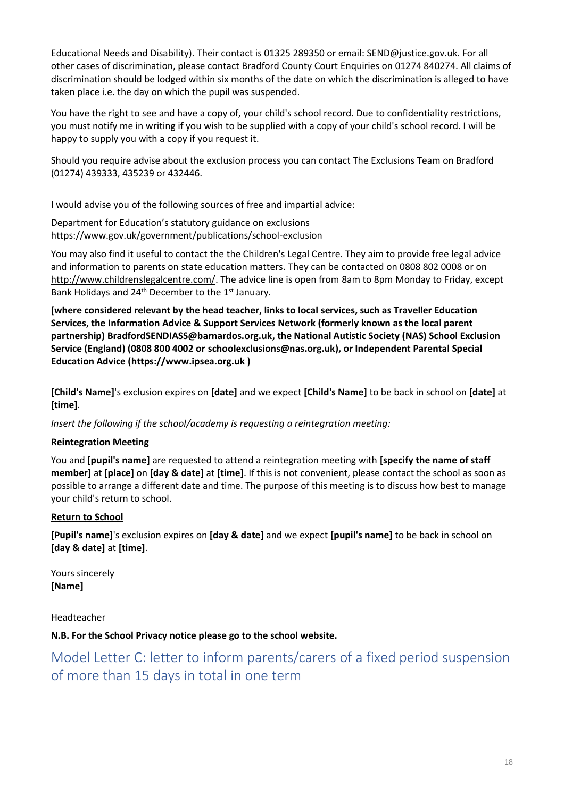Educational Needs and Disability). Their contact is 01325 289350 or email: SEND@justice.gov.uk. For all other cases of discrimination, please contact Bradford County Court Enquiries on 01274 840274. All claims of discrimination should be lodged within six months of the date on which the discrimination is alleged to have taken place i.e. the day on which the pupil was suspended.

You have the right to see and have a copy of, your child's school record. Due to confidentiality restrictions, you must notify me in writing if you wish to be supplied with a copy of your child's school record. I will be happy to supply you with a copy if you request it.

Should you require advise about the exclusion process you can contact The Exclusions Team on Bradford (01274) 439333, 435239 or 432446.

I would advise you of the following sources of free and impartial advice:

Department for Education's statutory guidance on exclusions <https://www.gov.uk/government/publications/school-exclusion>

You may also find it useful to contact the the Children's Legal Centre. They aim to provide free legal advice and information to parents on state education matters. They can be contacted on 0808 802 0008 or on [http://www.childrenslegalcentre.com/.](http://www.childrenslegalcentre.com/) The advice line is open from 8am to 8pm Monday to Friday, except Bank Holidays and 24<sup>th</sup> December to the 1<sup>st</sup> January.

**[where considered relevant by the head teacher, links to local services, such as Traveller Education Services, the Information Advice & Support Services Network (formerly known as the local parent partnership) [BradfordSENDIASS@barnardos.org.uk,](mailto:BradfordSENDIASS@barnardos.org.uk) the National Autistic Society (NAS) School Exclusion Service (England) (0808 800 4002 or [schoolexclusions@nas.org.uk\)](mailto:schoolexclusions@nas.org.uk), or Independent Parental Special Education Advice [\(https://www.ipsea.org.uk](https://www.ipsea.org.uk/) )**

**[Child's Name]**'s exclusion expires on **[date]** and we expect **[Child's Name]** to be back in school on **[date]** at **[time]**.

*Insert the following if the school/academy is requesting a reintegration meeting:*

### **Reintegration Meeting**

You and **[pupil's name]** are requested to attend a reintegration meeting with **[specify the name of staff member]** at **[place]** on **[day & date]** at **[time]**. If this is not convenient, please contact the school as soon as possible to arrange a different date and time. The purpose of this meeting is to discuss how best to manage your child's return to school.

### **Return to School**

**[Pupil's name]**'s exclusion expires on **[day & date]** and we expect **[pupil's name]** to be back in school on **[day & date]** at **[time]**.

Yours sincerely **[Name]**

Headteacher

**N.B. For the School Privacy notice please go to the school website.**

Model Letter C: letter to inform parents/carers of a fixed period suspension of more than 15 days in total in one term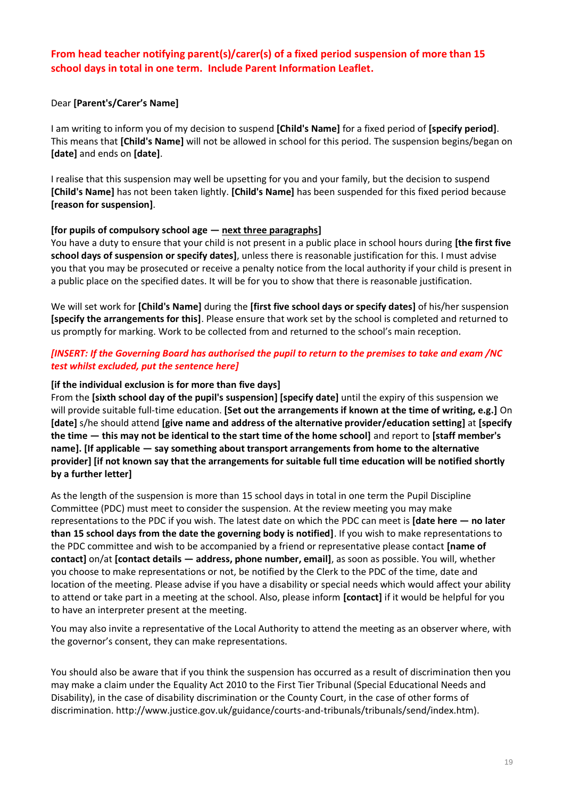### **From head teacher notifying parent(s)/carer(s) of a fixed period suspension of more than 15 school days in total in one term. Includ[e Parent Information Leaflet.](https://bso.bradford.gov.uk/userfiles/file/Behaviour%20Support%20Service/BSS/Parent%20information%20leaflet%20-%20%20Fixed%20term%20suspensions%20and%20the%20school%20governor%20role%20(Aug%202021).docx)**

#### Dear **[Parent's/Carer's Name]**

I am writing to inform you of my decision to suspend **[Child's Name]** for a fixed period of **[specify period]**. This means that **[Child's Name]** will not be allowed in school for this period. The suspension begins/began on **[date]** and ends on **[date]**.

I realise that this suspension may well be upsetting for you and your family, but the decision to suspend **[Child's Name]** has not been taken lightly. **[Child's Name]** has been suspended for this fixed period because **[reason for suspension]**.

#### **[for pupils of compulsory school age — next three paragraphs]**

You have a duty to ensure that your child is not present in a public place in school hours during **[the first five school days of suspension or specify dates]**, unless there is reasonable justification for this. I must advise you that you may be prosecuted or receive a penalty notice from the local authority if your child is present in a public place on the specified dates. It will be for you to show that there is reasonable justification.

We will set work for **[Child's Name]** during the **[first five school days or specify dates]** of his/her suspension **[specify the arrangements for this]**. Please ensure that work set by the school is completed and returned to us promptly for marking. Work to be collected from and returned to the school's main reception.

#### *[INSERT: If the Governing Board has authorised the pupil to return to the premises to take and exam /NC test whilst excluded, put the sentence here]*

#### **[if the individual exclusion is for more than five days]**

From the **[sixth school day of the pupil's suspension] [specify date]** until the expiry of this suspension we will provide suitable full-time education. **[Set out the arrangements if known at the time of writing, e.g.]** On **[date]** s/he should attend **[give name and address of the alternative provider/education setting]** at **[specify the time — this may not be identical to the start time of the home school]** and report to **[staff member's name]. [If applicable — say something about transport arrangements from home to the alternative provider] [if not known say that the arrangements for suitable full time education will be notified shortly by a further letter]**

As the length of the suspension is more than 15 school days in total in one term the Pupil Discipline Committee (PDC) must meet to consider the suspension. At the review meeting you may make representations to the PDC if you wish. The latest date on which the PDC can meet is **[date here — no later than 15 school days from the date the governing body is notified]**. If you wish to make representations to the PDC committee and wish to be accompanied by a friend or representative please contact **[name of contact]** on/at **[contact details — address, phone number, email]**, as soon as possible. You will, whether you choose to make representations or not, be notified by the Clerk to the PDC of the time, date and location of the meeting. Please advise if you have a disability or special needs which would affect your ability to attend or take part in a meeting at the school. Also, please inform **[contact]** if it would be helpful for you to have an interpreter present at the meeting.

You may also invite a representative of the Local Authority to attend the meeting as an observer where, with the governor's consent, they can make representations.

You should also be aware that if you think the suspension has occurred as a result of discrimination then you may make a claim under the Equality Act 2010 to the First Tier Tribunal (Special Educational Needs and Disability), in the case of disability discrimination or the County Court, in the case of other forms of discrimination. http://www.justice.gov.uk/guidance/courts-and-tribunals/tribunals/send/index.htm).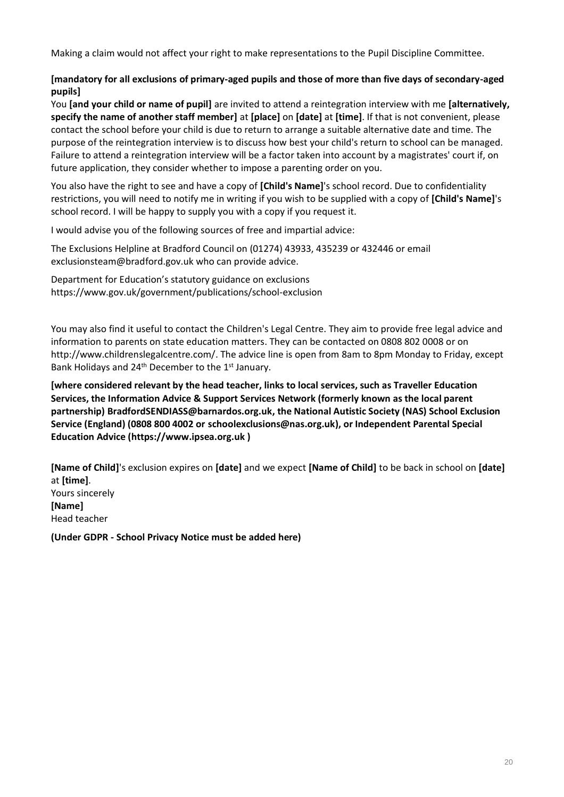Making a claim would not affect your right to make representations to the Pupil Discipline Committee.

#### **[mandatory for all exclusions of primary-aged pupils and those of more than five days of secondary-aged pupils]**

You **[and your child or name of pupil]** are invited to attend a reintegration interview with me **[alternatively, specify the name of another staff member]** at **[place]** on **[date]** at **[time]**. If that is not convenient, please contact the school before your child is due to return to arrange a suitable alternative date and time. The purpose of the reintegration interview is to discuss how best your child's return to school can be managed. Failure to attend a reintegration interview will be a factor taken into account by a magistrates' court if, on future application, they consider whether to impose a parenting order on you.

You also have the right to see and have a copy of **[Child's Name]**'s school record. Due to confidentiality restrictions, you will need to notify me in writing if you wish to be supplied with a copy of **[Child's Name]**'s school record. I will be happy to supply you with a copy if you request it.

I would advise you of the following sources of free and impartial advice:

The Exclusions Helpline at Bradford Council on (01274) 43933, 435239 or 432446 or email [exclusionsteam@bradford.gov.uk](mailto:exclusionsteam@bradford.gov.uk) who can provide advice.

Department for Education's statutory guidance on exclusions <https://www.gov.uk/government/publications/school-exclusion>

You may also find it useful to contact the Children's Legal Centre. They aim to provide free legal advice and information to parents on state education matters. They can be contacted on 0808 802 0008 or on [http://www.childrenslegalcentre.com/.](http://www.childrenslegalcentre.com/) The advice line is open from 8am to 8pm Monday to Friday, except Bank Holidays and 24<sup>th</sup> December to the 1<sup>st</sup> January.

**[where considered relevant by the head teacher, links to local services, such as Traveller Education Services, the Information Advice & Support Services Network (formerly known as the local parent partnership) [BradfordSENDIASS@barnardos.org.uk,](mailto:BradfordSENDIASS@barnardos.org.uk) the National Autistic Society (NAS) School Exclusion Service (England) (0808 800 4002 or [schoolexclusions@nas.org.uk\)](mailto:schoolexclusions@nas.org.uk), or Independent Parental Special Education Advice [\(https://www.ipsea.org.uk](https://www.ipsea.org.uk/) )**

**[Name of Child]**'s exclusion expires on **[date]** and we expect **[Name of Child]** to be back in school on **[date]** at **[time]**. Yours sincerely **[Name]**  Head teacher

**(Under GDPR - School Privacy Notice must be added here)**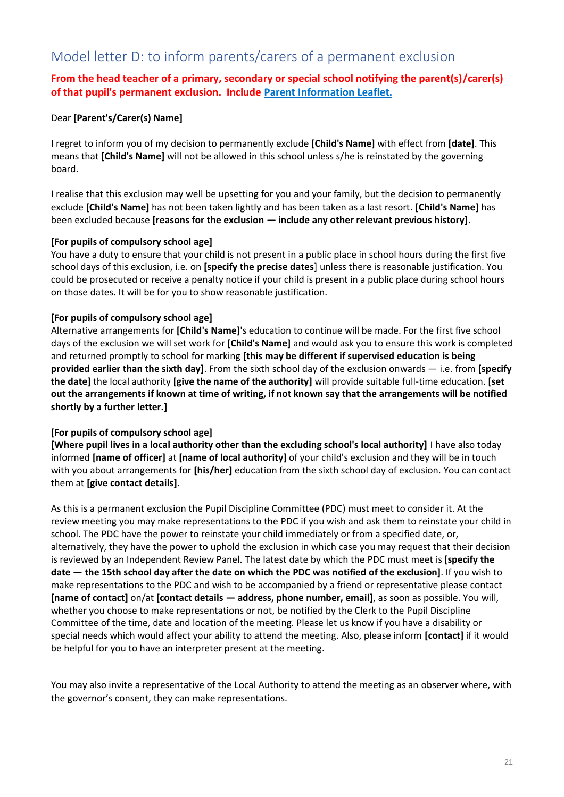### Model letter D: to inform parents/carers of a permanent exclusion

### **From the head teacher of a primary, secondary or special school notifying the parent(s)/carer(s) of that pupil's permanent exclusion. Include [Parent Information Leaflet.](https://bso.bradford.gov.uk/userfiles/file/Behaviour%20Support%20Service/Exclusions/Permanent%20Exclusion%20and%20the%20School%20Governor%20Meeting.pdf)**

### Dear **[Parent's/Carer(s) Name]**

I regret to inform you of my decision to permanently exclude **[Child's Name]** with effect from **[date]**. This means that **[Child's Name]** will not be allowed in this school unless s/he is reinstated by the governing board.

I realise that this exclusion may well be upsetting for you and your family, but the decision to permanently exclude **[Child's Name]** has not been taken lightly and has been taken as a last resort. **[Child's Name]** has been excluded because **[reasons for the exclusion — include any other relevant previous history]**.

#### **[For pupils of compulsory school age]**

You have a duty to ensure that your child is not present in a public place in school hours during the first five school days of this exclusion, i.e. on **[specify the precise dates**] unless there is reasonable justification. You could be prosecuted or receive a penalty notice if your child is present in a public place during school hours on those dates. It will be for you to show reasonable justification.

#### **[For pupils of compulsory school age]**

Alternative arrangements for **[Child's Name]**'s education to continue will be made. For the first five school days of the exclusion we will set work for **[Child's Name]** and would ask you to ensure this work is completed and returned promptly to school for marking **[this may be different if supervised education is being provided earlier than the sixth day]**. From the sixth school day of the exclusion onwards — i.e. from **[specify the date]** the local authority **[give the name of the authority]** will provide suitable full-time education. **[set out the arrangements if known at time of writing, if not known say that the arrangements will be notified shortly by a further letter.]**

#### **[For pupils of compulsory school age]**

**[Where pupil lives in a local authority other than the excluding school's local authority]** I have also today informed **[name of officer]** at **[name of local authority]** of your child's exclusion and they will be in touch with you about arrangements for **[his/her]** education from the sixth school day of exclusion. You can contact them at **[give contact details]**.

As this is a permanent exclusion the Pupil Discipline Committee (PDC) must meet to consider it. At the review meeting you may make representations to the PDC if you wish and ask them to reinstate your child in school. The PDC have the power to reinstate your child immediately or from a specified date, or, alternatively, they have the power to uphold the exclusion in which case you may request that their decision is reviewed by an Independent Review Panel. The latest date by which the PDC must meet is **[specify the date — the 15th school day after the date on which the PDC was notified of the exclusion]**. If you wish to make representations to the PDC and wish to be accompanied by a friend or representative please contact **[name of contact]** on/at **[contact details — address, phone number, email]**, as soon as possible. You will, whether you choose to make representations or not, be notified by the Clerk to the Pupil Discipline Committee of the time, date and location of the meeting. Please let us know if you have a disability or special needs which would affect your ability to attend the meeting. Also, please inform **[contact]** if it would be helpful for you to have an interpreter present at the meeting.

You may also invite a representative of the Local Authority to attend the meeting as an observer where, with the governor's consent, they can make representations.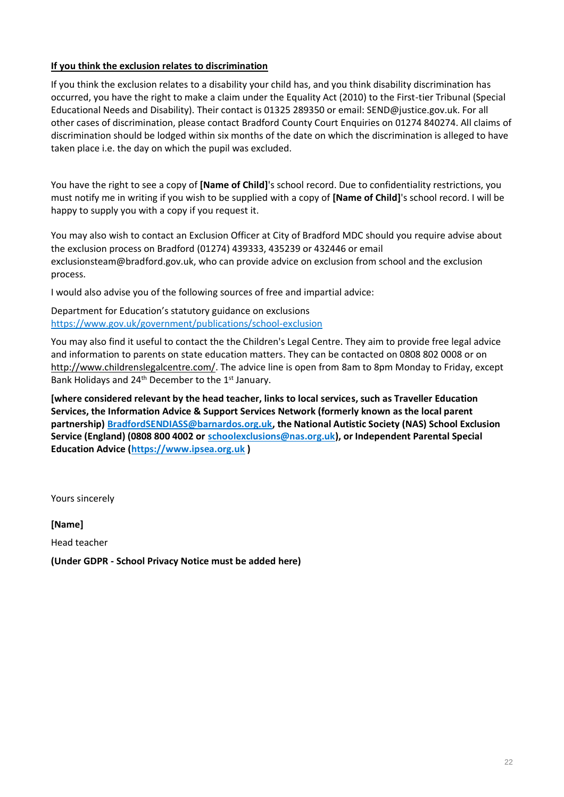#### **If you think the exclusion relates to discrimination**

If you think the exclusion relates to a disability your child has, and you think disability discrimination has occurred, you have the right to make a claim under the Equality Act (2010) to the First-tier Tribunal (Special Educational Needs and Disability). Their contact is 01325 289350 or email: SEND@justice.gov.uk. For all other cases of discrimination, please contact Bradford County Court Enquiries on 01274 840274. All claims of discrimination should be lodged within six months of the date on which the discrimination is alleged to have taken place i.e. the day on which the pupil was excluded.

You have the right to see a copy of **[Name of Child]**'s school record. Due to confidentiality restrictions, you must notify me in writing if you wish to be supplied with a copy of **[Name of Child]**'s school record. I will be happy to supply you with a copy if you request it.

You may also wish to contact an Exclusion Officer at City of Bradford MDC should you require advise about the exclusion process on Bradford (01274) 439333, 435239 or 432446 or email exclusionsteam@bradford.gov.uk, who can provide advice on exclusion from school and the exclusion process.

I would also advise you of the following sources of free and impartial advice:

Department for Education's statutory guidance on exclusions <https://www.gov.uk/government/publications/school-exclusion>

You may also find it useful to contact the the Children's Legal Centre. They aim to provide free legal advice and information to parents on state education matters. They can be contacted on 0808 802 0008 or on [http://www.childrenslegalcentre.com/.](http://www.childrenslegalcentre.com/) The advice line is open from 8am to 8pm Monday to Friday, except Bank Holidays and 24<sup>th</sup> December to the 1<sup>st</sup> January.

**[where considered relevant by the head teacher, links to local services, such as Traveller Education Services, the Information Advice & Support Services Network (formerly known as the local parent partnership) [BradfordSENDIASS@barnardos.org.uk,](mailto:BradfordSENDIASS@barnardos.org.uk) the National Autistic Society (NAS) School Exclusion Service (England) (0808 800 4002 or [schoolexclusions@nas.org.uk\)](mailto:schoolexclusions@nas.org.uk), or Independent Parental Special Education Advice [\(https://www.ipsea.org.uk](https://www.ipsea.org.uk/) )**

Yours sincerely

**[Name]**  Head teacher

**(Under GDPR - School Privacy Notice must be added here)**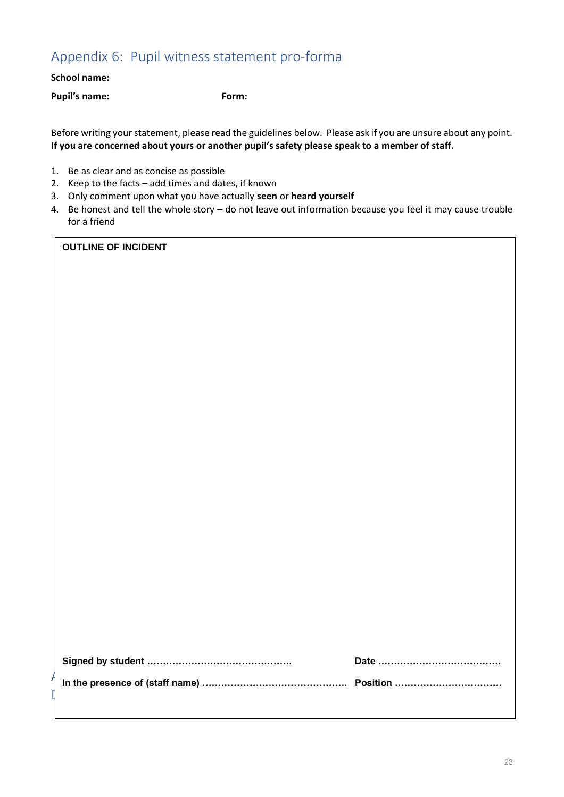### Appendix 6: Pupil witness statement pro-forma

#### **School name:**

**Pupil's name: Form:**

Before writing your statement, please read the guidelines below. Please ask if you are unsure about any point. **If you are concerned about yours or another pupil's safety please speak to a member of staff.**

- 1. Be as clear and as concise as possible
- 2. Keep to the facts add times and dates, if known
- 3. Only comment upon what you have actually **seen** or **heard yourself**
- 4. Be honest and tell the whole story do not leave out information because you feel it may cause trouble for a friend

#### **OUTLINE OF INCIDENT**

|  | Date ………………………………… |
|--|--------------------|
|  |                    |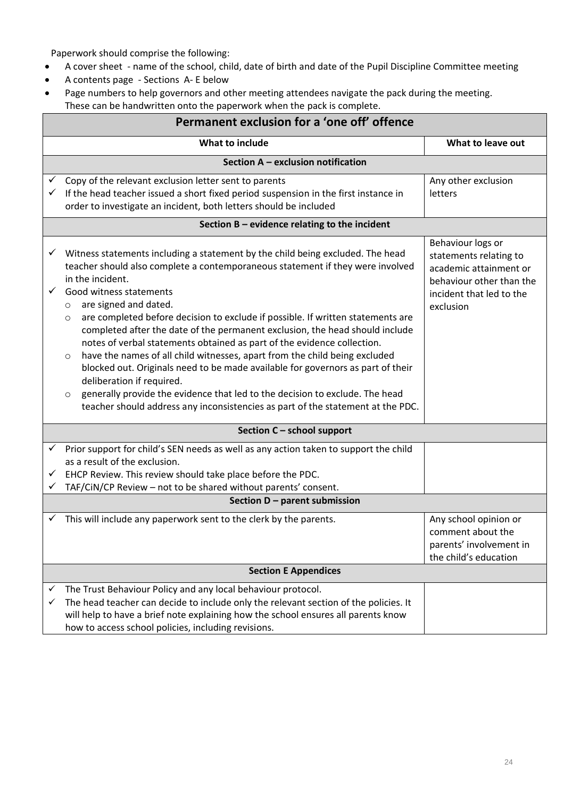Paperwork should comprise the following:

- A cover sheet name of the school, child, date of birth and date of the Pupil Discipline Committee meeting
- A contents page Sections A- E below
- Page numbers to help governors and other meeting attendees navigate the pack during the meeting.
- These can be handwritten onto the paperwork when the pack is complete.

| Permanent exclusion for a 'one off' offence                                                                                                                                                                                                                                                                                                                                                                                                                                                                                                                                                                                                                                                                                                                                                                                                                                                                              |                                                                                                                                            |  |  |  |
|--------------------------------------------------------------------------------------------------------------------------------------------------------------------------------------------------------------------------------------------------------------------------------------------------------------------------------------------------------------------------------------------------------------------------------------------------------------------------------------------------------------------------------------------------------------------------------------------------------------------------------------------------------------------------------------------------------------------------------------------------------------------------------------------------------------------------------------------------------------------------------------------------------------------------|--------------------------------------------------------------------------------------------------------------------------------------------|--|--|--|
| What to include                                                                                                                                                                                                                                                                                                                                                                                                                                                                                                                                                                                                                                                                                                                                                                                                                                                                                                          | What to leave out                                                                                                                          |  |  |  |
| Section A - exclusion notification                                                                                                                                                                                                                                                                                                                                                                                                                                                                                                                                                                                                                                                                                                                                                                                                                                                                                       |                                                                                                                                            |  |  |  |
| Copy of the relevant exclusion letter sent to parents<br>If the head teacher issued a short fixed period suspension in the first instance in<br>order to investigate an incident, both letters should be included                                                                                                                                                                                                                                                                                                                                                                                                                                                                                                                                                                                                                                                                                                        | Any other exclusion<br>letters                                                                                                             |  |  |  |
| Section B - evidence relating to the incident                                                                                                                                                                                                                                                                                                                                                                                                                                                                                                                                                                                                                                                                                                                                                                                                                                                                            |                                                                                                                                            |  |  |  |
| Witness statements including a statement by the child being excluded. The head<br>✓<br>teacher should also complete a contemporaneous statement if they were involved<br>in the incident.<br>$\checkmark$<br>Good witness statements<br>are signed and dated.<br>$\circ$<br>are completed before decision to exclude if possible. If written statements are<br>$\circ$<br>completed after the date of the permanent exclusion, the head should include<br>notes of verbal statements obtained as part of the evidence collection.<br>have the names of all child witnesses, apart from the child being excluded<br>$\circ$<br>blocked out. Originals need to be made available for governors as part of their<br>deliberation if required.<br>generally provide the evidence that led to the decision to exclude. The head<br>$\circ$<br>teacher should address any inconsistencies as part of the statement at the PDC. | Behaviour logs or<br>statements relating to<br>academic attainment or<br>behaviour other than the<br>incident that led to the<br>exclusion |  |  |  |
| Section C - school support                                                                                                                                                                                                                                                                                                                                                                                                                                                                                                                                                                                                                                                                                                                                                                                                                                                                                               |                                                                                                                                            |  |  |  |
| Prior support for child's SEN needs as well as any action taken to support the child<br>as a result of the exclusion.<br>EHCP Review. This review should take place before the PDC.<br>TAF/CiN/CP Review - not to be shared without parents' consent.<br>Section D - parent submission                                                                                                                                                                                                                                                                                                                                                                                                                                                                                                                                                                                                                                   |                                                                                                                                            |  |  |  |
|                                                                                                                                                                                                                                                                                                                                                                                                                                                                                                                                                                                                                                                                                                                                                                                                                                                                                                                          |                                                                                                                                            |  |  |  |
| This will include any paperwork sent to the clerk by the parents.<br>✓                                                                                                                                                                                                                                                                                                                                                                                                                                                                                                                                                                                                                                                                                                                                                                                                                                                   | Any school opinion or<br>comment about the<br>parents' involvement in<br>the child's education                                             |  |  |  |
| <b>Section E Appendices</b>                                                                                                                                                                                                                                                                                                                                                                                                                                                                                                                                                                                                                                                                                                                                                                                                                                                                                              |                                                                                                                                            |  |  |  |
| The Trust Behaviour Policy and any local behaviour protocol.<br>✓<br>The head teacher can decide to include only the relevant section of the policies. It<br>✓<br>will help to have a brief note explaining how the school ensures all parents know<br>how to access school policies, including revisions.                                                                                                                                                                                                                                                                                                                                                                                                                                                                                                                                                                                                               |                                                                                                                                            |  |  |  |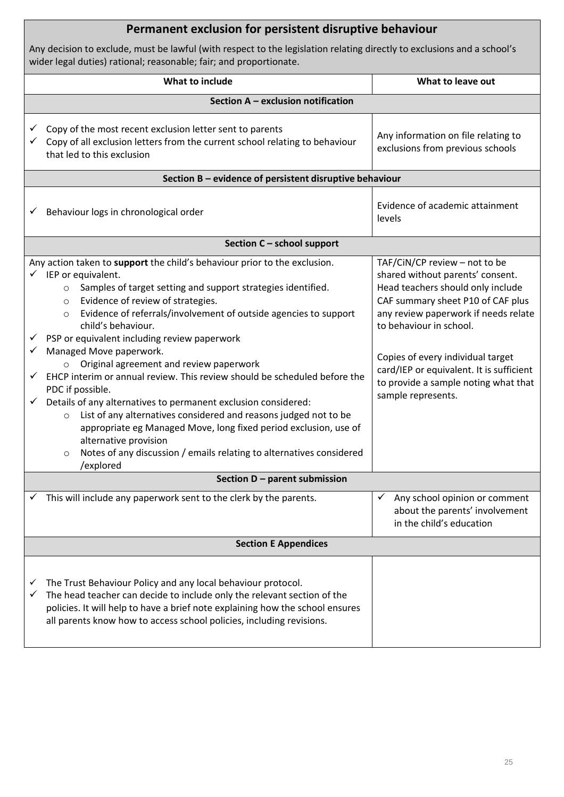| Permanent exclusion for persistent disruptive behaviour                                                                                                                                                                                                                                                                                                                                                                                                                                                                                                                                                                                                                                                                                                                                                                                                                                                                                                                          |                                                                                                                                                                                                                                                                                                                                                               |  |
|----------------------------------------------------------------------------------------------------------------------------------------------------------------------------------------------------------------------------------------------------------------------------------------------------------------------------------------------------------------------------------------------------------------------------------------------------------------------------------------------------------------------------------------------------------------------------------------------------------------------------------------------------------------------------------------------------------------------------------------------------------------------------------------------------------------------------------------------------------------------------------------------------------------------------------------------------------------------------------|---------------------------------------------------------------------------------------------------------------------------------------------------------------------------------------------------------------------------------------------------------------------------------------------------------------------------------------------------------------|--|
| Any decision to exclude, must be lawful (with respect to the legislation relating directly to exclusions and a school's<br>wider legal duties) rational; reasonable; fair; and proportionate.                                                                                                                                                                                                                                                                                                                                                                                                                                                                                                                                                                                                                                                                                                                                                                                    |                                                                                                                                                                                                                                                                                                                                                               |  |
| What to include                                                                                                                                                                                                                                                                                                                                                                                                                                                                                                                                                                                                                                                                                                                                                                                                                                                                                                                                                                  | What to leave out                                                                                                                                                                                                                                                                                                                                             |  |
| Section A - exclusion notification                                                                                                                                                                                                                                                                                                                                                                                                                                                                                                                                                                                                                                                                                                                                                                                                                                                                                                                                               |                                                                                                                                                                                                                                                                                                                                                               |  |
| Copy of the most recent exclusion letter sent to parents<br>Copy of all exclusion letters from the current school relating to behaviour<br>✓<br>that led to this exclusion                                                                                                                                                                                                                                                                                                                                                                                                                                                                                                                                                                                                                                                                                                                                                                                                       | Any information on file relating to<br>exclusions from previous schools                                                                                                                                                                                                                                                                                       |  |
| Section B - evidence of persistent disruptive behaviour                                                                                                                                                                                                                                                                                                                                                                                                                                                                                                                                                                                                                                                                                                                                                                                                                                                                                                                          |                                                                                                                                                                                                                                                                                                                                                               |  |
| Behaviour logs in chronological order<br>✓                                                                                                                                                                                                                                                                                                                                                                                                                                                                                                                                                                                                                                                                                                                                                                                                                                                                                                                                       | Evidence of academic attainment<br>levels                                                                                                                                                                                                                                                                                                                     |  |
| Section C - school support                                                                                                                                                                                                                                                                                                                                                                                                                                                                                                                                                                                                                                                                                                                                                                                                                                                                                                                                                       |                                                                                                                                                                                                                                                                                                                                                               |  |
| Any action taken to support the child's behaviour prior to the exclusion.<br>$\checkmark$ IEP or equivalent.<br>Samples of target setting and support strategies identified.<br>$\circ$<br>Evidence of review of strategies.<br>$\circ$<br>Evidence of referrals/involvement of outside agencies to support<br>$\circ$<br>child's behaviour.<br>$\checkmark$ PSP or equivalent including review paperwork<br>$\checkmark$ Managed Move paperwork.<br>Original agreement and review paperwork<br>$\circ$<br>EHCP interim or annual review. This review should be scheduled before the<br>$\checkmark$<br>PDC if possible.<br>Details of any alternatives to permanent exclusion considered:<br>$\checkmark$<br>List of any alternatives considered and reasons judged not to be<br>$\circ$<br>appropriate eg Managed Move, long fixed period exclusion, use of<br>alternative provision<br>Notes of any discussion / emails relating to alternatives considered<br>O<br>/explored | TAF/CiN/CP review - not to be<br>shared without parents' consent.<br>Head teachers should only include<br>CAF summary sheet P10 of CAF plus<br>any review paperwork if needs relate<br>to behaviour in school.<br>Copies of every individual target<br>card/IEP or equivalent. It is sufficient<br>to provide a sample noting what that<br>sample represents. |  |
| Section D - parent submission                                                                                                                                                                                                                                                                                                                                                                                                                                                                                                                                                                                                                                                                                                                                                                                                                                                                                                                                                    |                                                                                                                                                                                                                                                                                                                                                               |  |
| This will include any paperwork sent to the clerk by the parents.<br>✓                                                                                                                                                                                                                                                                                                                                                                                                                                                                                                                                                                                                                                                                                                                                                                                                                                                                                                           | Any school opinion or comment<br>✓<br>about the parents' involvement<br>in the child's education                                                                                                                                                                                                                                                              |  |
| <b>Section E Appendices</b>                                                                                                                                                                                                                                                                                                                                                                                                                                                                                                                                                                                                                                                                                                                                                                                                                                                                                                                                                      |                                                                                                                                                                                                                                                                                                                                                               |  |
| The Trust Behaviour Policy and any local behaviour protocol.<br>v<br>The head teacher can decide to include only the relevant section of the<br>✓<br>policies. It will help to have a brief note explaining how the school ensures<br>all parents know how to access school policies, including revisions.                                                                                                                                                                                                                                                                                                                                                                                                                                                                                                                                                                                                                                                                       |                                                                                                                                                                                                                                                                                                                                                               |  |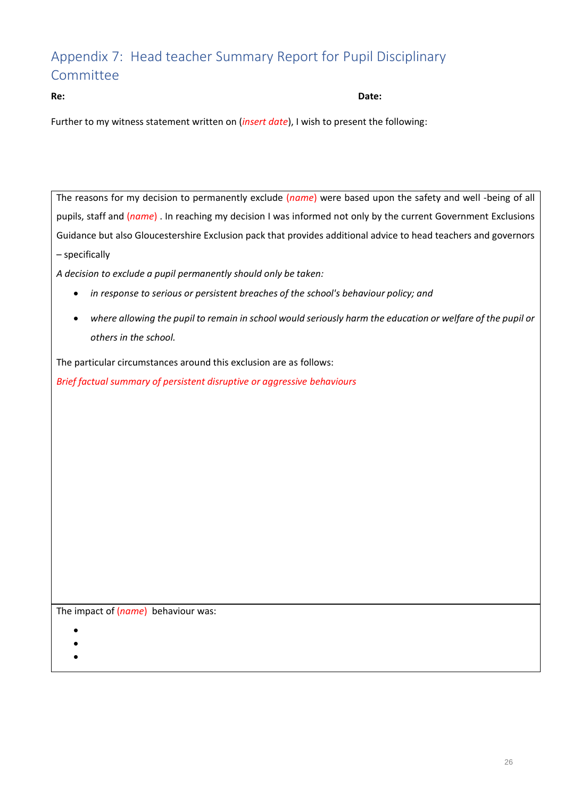### Appendix 7: Head teacher Summary Report for Pupil Disciplinary Committee

**Re: Date:**

Further to my witness statement written on (*insert date*), I wish to present the following:

The reasons for my decision to permanently exclude (*name*) were based upon the safety and well -being of all pupils, staff and (*name*) . In reaching my decision I was informed not only by the current Government Exclusions Guidance but also Gloucestershire Exclusion pack that provides additional advice to head teachers and governors – specifically

*A decision to exclude a pupil permanently should only be taken:* 

- *in response to serious or persistent breaches of the school's behaviour policy; and*
- *where allowing the pupil to remain in school would seriously harm the education or welfare of the pupil or others in the school.*

The particular circumstances around this exclusion are as follows:

*Brief factual summary of persistent disruptive or aggressive behaviours*

The impact of (*name*) behaviour was:

- •
- •
- •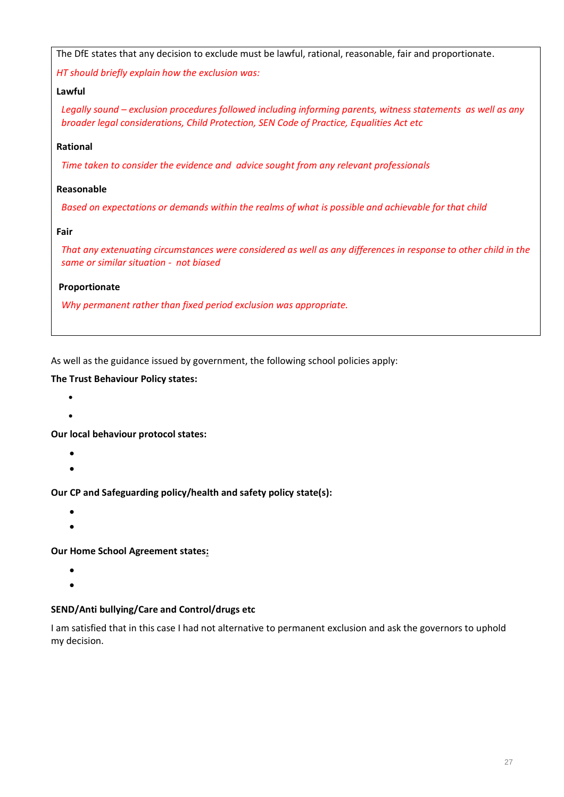| The DfE states that any decision to exclude must be lawful, rational, reasonable, fair and proportionate.                                                                                                |
|----------------------------------------------------------------------------------------------------------------------------------------------------------------------------------------------------------|
| HT should briefly explain how the exclusion was:                                                                                                                                                         |
| Lawful                                                                                                                                                                                                   |
| Legally sound – exclusion procedures followed including informing parents, witness statements as well as any<br>broader legal considerations, Child Protection, SEN Code of Practice, Equalities Act etc |
| Rational                                                                                                                                                                                                 |
| Time taken to consider the evidence and advice sought from any relevant professionals                                                                                                                    |
| Reasonable                                                                                                                                                                                               |
| Based on expectations or demands within the realms of what is possible and achievable for that child                                                                                                     |
| Fair                                                                                                                                                                                                     |
| That any extenuating circumstances were considered as well as any differences in response to other child in the<br>same or similar situation - not biased                                                |
| Proportionate                                                                                                                                                                                            |
| Why permanent rather than fixed period exclusion was appropriate.                                                                                                                                        |

As well as the guidance issued by government, the following school policies apply:

### **The Trust Behaviour Policy states:**

- •
- •

**Our local behaviour protocol states:**

- •
- •

**Our CP and Safeguarding policy/health and safety policy state(s):**

- •
- •

#### **Our Home School Agreement states:**

- •
- •

### **SEND/Anti bullying/Care and Control/drugs etc**

I am satisfied that in this case I had not alternative to permanent exclusion and ask the governors to uphold my decision.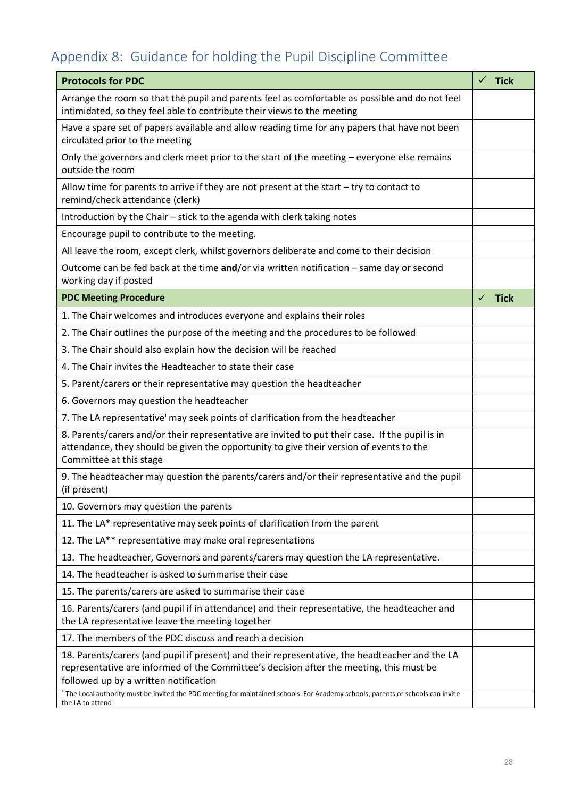# Appendix 8: Guidance for holding the Pupil Discipline Committee

| <b>Protocols for PDC</b>                                                                                                                                                                                                                                                                                                                                             | $\checkmark$ Tick |
|----------------------------------------------------------------------------------------------------------------------------------------------------------------------------------------------------------------------------------------------------------------------------------------------------------------------------------------------------------------------|-------------------|
| Arrange the room so that the pupil and parents feel as comfortable as possible and do not feel<br>intimidated, so they feel able to contribute their views to the meeting                                                                                                                                                                                            |                   |
| Have a spare set of papers available and allow reading time for any papers that have not been<br>circulated prior to the meeting                                                                                                                                                                                                                                     |                   |
| Only the governors and clerk meet prior to the start of the meeting – everyone else remains<br>outside the room                                                                                                                                                                                                                                                      |                   |
| Allow time for parents to arrive if they are not present at the start $-$ try to contact to<br>remind/check attendance (clerk)                                                                                                                                                                                                                                       |                   |
| Introduction by the Chair - stick to the agenda with clerk taking notes                                                                                                                                                                                                                                                                                              |                   |
| Encourage pupil to contribute to the meeting.                                                                                                                                                                                                                                                                                                                        |                   |
| All leave the room, except clerk, whilst governors deliberate and come to their decision                                                                                                                                                                                                                                                                             |                   |
| Outcome can be fed back at the time and/or via written notification - same day or second<br>working day if posted                                                                                                                                                                                                                                                    |                   |
| <b>PDC Meeting Procedure</b>                                                                                                                                                                                                                                                                                                                                         | $\checkmark$ Tick |
| 1. The Chair welcomes and introduces everyone and explains their roles                                                                                                                                                                                                                                                                                               |                   |
| 2. The Chair outlines the purpose of the meeting and the procedures to be followed                                                                                                                                                                                                                                                                                   |                   |
| 3. The Chair should also explain how the decision will be reached                                                                                                                                                                                                                                                                                                    |                   |
| 4. The Chair invites the Headteacher to state their case                                                                                                                                                                                                                                                                                                             |                   |
| 5. Parent/carers or their representative may question the headteacher                                                                                                                                                                                                                                                                                                |                   |
| 6. Governors may question the headteacher                                                                                                                                                                                                                                                                                                                            |                   |
| 7. The LA representative may seek points of clarification from the headteacher                                                                                                                                                                                                                                                                                       |                   |
| 8. Parents/carers and/or their representative are invited to put their case. If the pupil is in<br>attendance, they should be given the opportunity to give their version of events to the<br>Committee at this stage                                                                                                                                                |                   |
| 9. The headteacher may question the parents/carers and/or their representative and the pupil<br>(if present)                                                                                                                                                                                                                                                         |                   |
| 10. Governors may question the parents                                                                                                                                                                                                                                                                                                                               |                   |
| 11. The LA* representative may seek points of clarification from the parent                                                                                                                                                                                                                                                                                          |                   |
| 12. The LA** representative may make oral representations                                                                                                                                                                                                                                                                                                            |                   |
| 13. The headteacher, Governors and parents/carers may question the LA representative.                                                                                                                                                                                                                                                                                |                   |
| 14. The headteacher is asked to summarise their case                                                                                                                                                                                                                                                                                                                 |                   |
| 15. The parents/carers are asked to summarise their case                                                                                                                                                                                                                                                                                                             |                   |
| 16. Parents/carers (and pupil if in attendance) and their representative, the headteacher and<br>the LA representative leave the meeting together                                                                                                                                                                                                                    |                   |
| 17. The members of the PDC discuss and reach a decision                                                                                                                                                                                                                                                                                                              |                   |
| 18. Parents/carers (and pupil if present) and their representative, the headteacher and the LA<br>representative are informed of the Committee's decision after the meeting, this must be<br>followed up by a written notification<br>The Local authority must be invited the PDC meeting for maintained schools. For Academy schools, parents or schools can invite |                   |
| the LA to attend                                                                                                                                                                                                                                                                                                                                                     |                   |